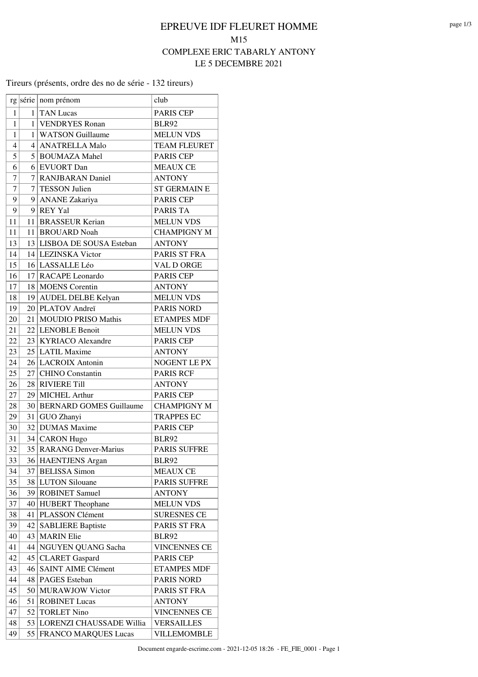#### Tireurs (présents, ordre des no de série - 132 tireurs)

|                |    | rg série   nom prénom       | club                |
|----------------|----|-----------------------------|---------------------|
| 1              |    | $1$ TAN Lucas               | <b>PARIS CEP</b>    |
| 1              |    | 1 VENDRYES Ronan            | <b>BLR92</b>        |
| 1              |    | 1   WATSON Guillaume        | <b>MELUN VDS</b>    |
| $\overline{4}$ |    | 4   ANATRELLA Malo          | <b>TEAM FLEURET</b> |
| 5              |    | 5 BOUMAZA Mahel             | PARIS CEP           |
| 6              |    | 6 EVUORT Dan                | <b>MEAUX CE</b>     |
| $\overline{7}$ |    | 7 RANJBARAN Daniel          | <b>ANTONY</b>       |
| $\overline{7}$ |    | 7 TESSON Julien             | <b>ST GERMAIN E</b> |
| 9              |    | 9 ANANE Zakariya            | PARIS CEP           |
| 9              |    | 9 REY Yal                   | <b>PARIS TA</b>     |
| 11             |    | 11 BRASSEUR Kerian          | <b>MELUN VDS</b>    |
| 11             |    | 11 BROUARD Noah             | <b>CHAMPIGNY M</b>  |
| 13             |    | 13 LISBOA DE SOUSA Esteban  | <b>ANTONY</b>       |
| 14             |    | 14 LEZINSKA Victor          | PARIS ST FRA        |
| 15             |    | 16 LASSALLE Léo             | VAL D ORGE          |
| 16             |    | 17 RACAPE Leonardo          | PARIS CEP           |
| 17             |    | 18 MOENS Corentin           | <b>ANTONY</b>       |
| 18             |    | 19 AUDEL DELBE Kelyan       | <b>MELUN VDS</b>    |
| 19             |    | 20 PLATOV Andreï            | <b>PARIS NORD</b>   |
| 20             |    | 21 MOUDIO PRISO Mathis      | <b>ETAMPES MDF</b>  |
| 21             |    | 22 LENOBLE Benoit           | <b>MELUN VDS</b>    |
| 22             |    | 23 KYRIACO Alexandre        | <b>PARIS CEP</b>    |
| 23             |    | 25 LATIL Maxime             | <b>ANTONY</b>       |
| 24             |    | 26 LACROIX Antonin          | NOGENT LE PX        |
| 25             |    | 27 CHINO Constantin         | <b>PARIS RCF</b>    |
| 26             |    | 28 RIVIERE Till             | <b>ANTONY</b>       |
| 27             |    | 29 MICHEL Arthur            | <b>PARIS CEP</b>    |
| 28             |    | 30 BERNARD GOMES Guillaume  | <b>CHAMPIGNY M</b>  |
| 29             |    | 31 GUO Zhanyi               | <b>TRAPPES EC</b>   |
| 30             |    | 32 DUMAS Maxime             | <b>PARIS CEP</b>    |
| 31             |    | 34 CARON Hugo               | <b>BLR92</b>        |
| 32             |    | 35 RARANG Denver-Marius     | <b>PARIS SUFFRE</b> |
| 33             |    | 36 HAENTJENS Argan          | <b>BLR92</b>        |
| 34             |    | 37 BELISSA Simon            | <b>MEAUX CE</b>     |
| 35             |    | 38 LUTON Silouane           | <b>PARIS SUFFRE</b> |
| 36             |    | 39 ROBINET Samuel           | <b>ANTONY</b>       |
| 37             |    | 40 HUBERT Theophane         | <b>MELUN VDS</b>    |
| 38             |    | 41 PLASSON Clément          | <b>SURESNES CE</b>  |
| 39             | 42 | <b>SABLIERE Baptiste</b>    | PARIS ST FRA        |
| 40             |    | 43   MARIN Elie             | <b>BLR92</b>        |
| 41             |    | 44 NGUYEN QUANG Sacha       | <b>VINCENNES CE</b> |
| 42             |    | 45   CLARET Gaspard         | PARIS CEP           |
| 43             | 46 | <b>SAINT AIME Clément</b>   | <b>ETAMPES MDF</b>  |
| 44             | 48 | PAGES Esteban               | <b>PARIS NORD</b>   |
| 45             | 50 | <b>MURAWJOW Victor</b>      | PARIS ST FRA        |
| 46             | 51 | <b>ROBINET Lucas</b>        | <b>ANTONY</b>       |
| 47             | 52 | <b>TORLET Nino</b>          | <b>VINCENNES CE</b> |
| 48             | 53 | LORENZI CHAUSSADE Willia    | <b>VERSAILLES</b>   |
| 49             | 55 | <b>FRANCO MARQUES Lucas</b> | <b>VILLEMOMBLE</b>  |
|                |    |                             |                     |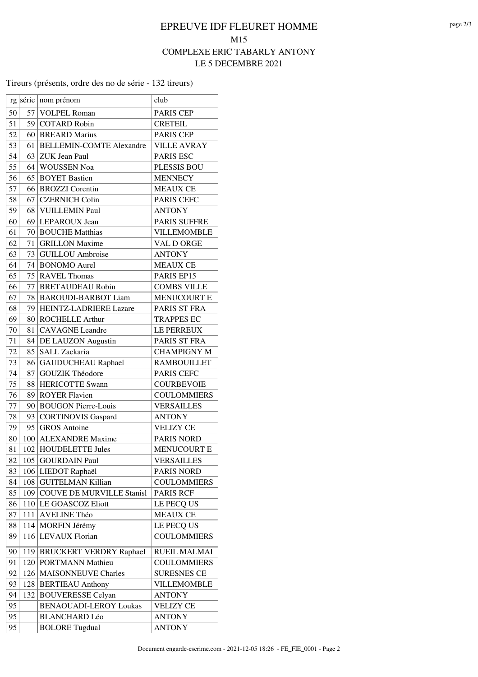#### Tireurs (présents, ordre des no de série - 132 tireurs)

|    |     | rg série   nom prénom                      | club                          |
|----|-----|--------------------------------------------|-------------------------------|
| 50 | 57  | <b>VOLPEL Roman</b>                        | <b>PARIS CEP</b>              |
| 51 |     | 59 COTARD Robin                            | <b>CRETEIL</b>                |
| 52 |     | 60 BREARD Marius                           | <b>PARIS CEP</b>              |
| 53 | 61  | <b>BELLEMIN-COMTE Alexandre</b>            | <b>VILLE AVRAY</b>            |
| 54 |     | 63 ZUK Jean Paul                           | PARIS ESC                     |
| 55 |     | 64 WOUSSEN Noa                             | PLESSIS BOU                   |
| 56 |     | 65 BOYET Bastien                           | <b>MENNECY</b>                |
| 57 |     | 66 BROZZI Corentin                         | <b>MEAUX CE</b>               |
| 58 | 67  | <b>CZERNICH Colin</b>                      | <b>PARIS CEFC</b>             |
| 59 | 68  | VUILLEMIN Paul                             | <b>ANTONY</b>                 |
| 60 |     | 69 LEPAROUX Jean                           | <b>PARIS SUFFRE</b>           |
| 61 |     | 70 BOUCHE Matthias                         | <b>VILLEMOMBLE</b>            |
| 62 |     | 71 GRILLON Maxime                          | VAL D ORGE                    |
| 63 |     | 73 GUILLOU Ambroise                        | <b>ANTONY</b>                 |
| 64 |     | 74 BONOMO Aurel                            |                               |
|    |     |                                            | <b>MEAUX CE</b><br>PARIS EP15 |
| 65 |     | 75 RAVEL Thomas<br><b>BRETAUDEAU Robin</b> |                               |
| 66 | 77  |                                            | <b>COMBS VILLE</b>            |
| 67 | 78  | <b>BAROUDI-BARBOT Liam</b>                 | <b>MENUCOURT E</b>            |
| 68 |     | 79 HEINTZ-LADRIERE Lazare                  | PARIS ST FRA                  |
| 69 |     | 80 ROCHELLE Arthur                         | <b>TRAPPES EC</b>             |
| 70 | 81  | <b>CAVAGNE</b> Leandre                     | LE PERREUX                    |
| 71 |     | 84 DE LAUZON Augustin                      | PARIS ST FRA                  |
| 72 | 85  | SALL Zackaria                              | <b>CHAMPIGNY M</b>            |
| 73 |     | 86 GAUDUCHEAU Raphael                      | <b>RAMBOUILLET</b>            |
| 74 | 87  | <b>GOUZIK Théodore</b>                     | PARIS CEFC                    |
| 75 | 88  | <b>HERICOTTE Swann</b>                     | <b>COURBEVOIE</b>             |
| 76 | 89  | <b>ROYER Flavien</b>                       | <b>COULOMMIERS</b>            |
| 77 |     | 90 BOUGON Pierre-Louis                     | <b>VERSAILLES</b>             |
| 78 |     | 93 CORTINOVIS Gaspard                      | <b>ANTONY</b>                 |
| 79 |     | 95 GROS Antoine                            | <b>VELIZY CE</b>              |
| 80 |     | 100 ALEXANDRE Maxime                       | <b>PARIS NORD</b>             |
| 81 |     | 102 HOUDELETTE Jules                       | <b>MENUCOURT E</b>            |
| 82 |     | 105 GOURDAIN Paul                          | <b>VERSAILLES</b>             |
| 83 |     | 106 LIEDOT Raphaël                         | <b>PARIS NORD</b>             |
| 84 |     | 108 GUITELMAN Killian                      | <b>COULOMMIERS</b>            |
| 85 |     | 109 COUVE DE MURVILLE Stanisl              | <b>PARIS RCF</b>              |
| 86 |     | 110 LE GOASCOZ Eliott                      | LE PECQ US                    |
| 87 | 111 | AVELINE Théo                               | <b>MEAUX CE</b>               |
| 88 |     | 114 MORFIN Jérémy                          | LE PECQ US                    |
| 89 | 116 | <b>LEVAUX Florian</b>                      | <b>COULOMMIERS</b>            |
| 90 |     | 119 BRUCKERT VERDRY Raphael                | RUEIL MALMAI                  |
| 91 | 120 | <b>PORTMANN Mathieu</b>                    | <b>COULOMMIERS</b>            |
| 92 |     | 126   MAISONNEUVE Charles                  | <b>SURESNES CE</b>            |
| 93 | 128 | <b>BERTIEAU</b> Anthony                    | <b>VILLEMOMBLE</b>            |
| 94 | 132 | <b>BOUVERESSE Celyan</b>                   | <b>ANTONY</b>                 |
| 95 |     | <b>BENAOUADI-LEROY Loukas</b>              | <b>VELIZY CE</b>              |
| 95 |     | <b>BLANCHARD Léo</b>                       | <b>ANTONY</b>                 |
| 95 |     | <b>BOLORE Tugdual</b>                      | <b>ANTONY</b>                 |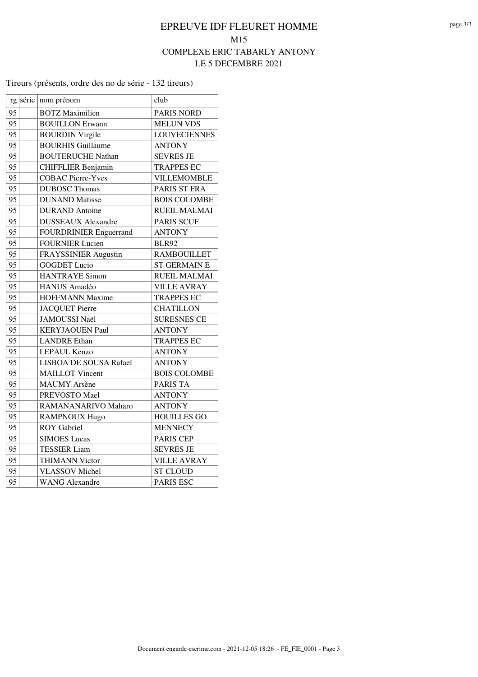#### Tireurs (présents, ordre des no de série - 132 tireurs)

|    | rg série nom prénom           | club                |
|----|-------------------------------|---------------------|
| 95 | <b>BOTZ</b> Maximilien        | <b>PARIS NORD</b>   |
| 95 | <b>BOUILLON Erwann</b>        | <b>MELUN VDS</b>    |
| 95 | <b>BOURDIN Virgile</b>        | <b>LOUVECIENNES</b> |
| 95 | <b>BOURHIS Guillaume</b>      | <b>ANTONY</b>       |
| 95 | <b>BOUTERUCHE Nathan</b>      | <b>SEVRES JE</b>    |
| 95 | <b>CHIFFLIER Benjamin</b>     | <b>TRAPPES EC</b>   |
| 95 | <b>COBAC Pierre-Yves</b>      | VILLEMOMBLE         |
| 95 | <b>DUBOSC Thomas</b>          | PARIS ST FRA        |
| 95 | <b>DUNAND</b> Matisse         | <b>BOIS COLOMBE</b> |
| 95 | <b>DURAND</b> Antoine         | <b>RUEIL MALMAI</b> |
| 95 | <b>DUSSEAUX Alexandre</b>     | <b>PARIS SCUF</b>   |
| 95 | <b>FOURDRINIER Enguerrand</b> | <b>ANTONY</b>       |
| 95 | <b>FOURNIER Lucien</b>        | <b>BLR92</b>        |
| 95 | <b>FRAYSSINIER Augustin</b>   | <b>RAMBOUILLET</b>  |
| 95 | <b>GOGDET</b> Lucio           | <b>ST GERMAIN E</b> |
| 95 | <b>HANTRAYE Simon</b>         | <b>RUEIL MALMAI</b> |
| 95 | <b>HANUS Amadéo</b>           | <b>VILLE AVRAY</b>  |
| 95 | <b>HOFFMANN Maxime</b>        | <b>TRAPPES EC</b>   |
| 95 | <b>JACQUET Pierre</b>         | <b>CHATILLON</b>    |
| 95 | <b>JAMOUSSI Naël</b>          | <b>SURESNES CE</b>  |
| 95 | <b>KERYJAOUEN Paul</b>        | <b>ANTONY</b>       |
| 95 | <b>LANDRE</b> Ethan           | <b>TRAPPES EC</b>   |
| 95 | LEPAUL Kenzo                  | <b>ANTONY</b>       |
| 95 | LISBOA DE SOUSA Rafael        | <b>ANTONY</b>       |
| 95 | <b>MAILLOT</b> Vincent        | <b>BOIS COLOMBE</b> |
| 95 | <b>MAUMY</b> Arsène           | <b>PARIS TA</b>     |
| 95 | PREVOSTO Mael                 | <b>ANTONY</b>       |
| 95 | RAMANANARIVO Maharo           | <b>ANTONY</b>       |
| 95 | RAMPNOUX Hugo                 | <b>HOUILLES GO</b>  |
| 95 | <b>ROY</b> Gabriel            | <b>MENNECY</b>      |
| 95 | <b>SIMOES Lucas</b>           | PARIS CEP           |
| 95 | <b>TESSIER Liam</b>           | <b>SEVRES JE</b>    |
| 95 | <b>THIMANN Victor</b>         | <b>VILLE AVRAY</b>  |
| 95 | <b>VLASSOV</b> Michel         | <b>ST CLOUD</b>     |
| 95 | <b>WANG Alexandre</b>         | <b>PARIS ESC</b>    |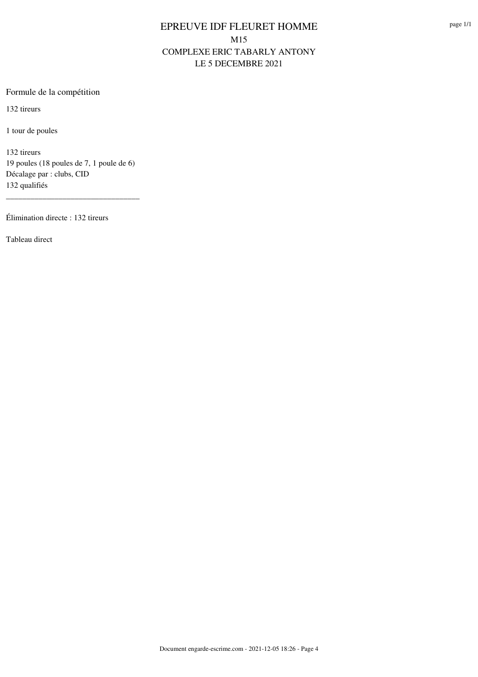#### Formule de la compétition

132 tireurs

1 tour de poules

132 tireurs 19 poules (18 poules de 7, 1 poule de 6) Décalage par : clubs, CID 132 qualifiés

\_\_\_\_\_\_\_\_\_\_\_\_\_\_\_\_\_\_\_\_\_\_\_\_\_\_\_\_\_\_\_\_\_

Élimination directe : 132 tireurs

Tableau direct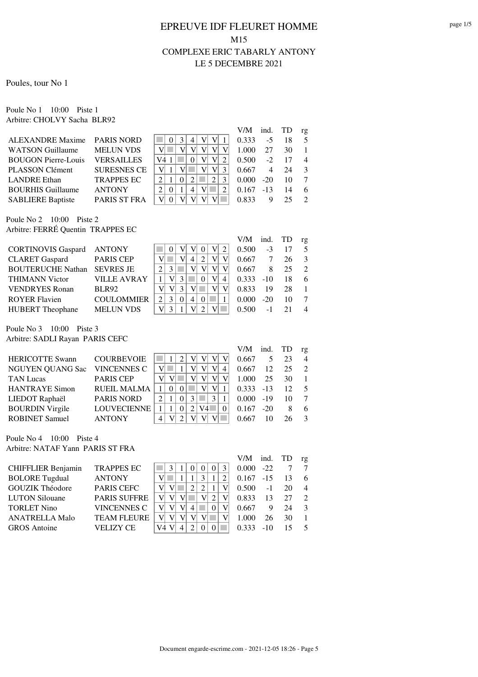Poules, tour No 1

Poule No 1 10:00 Piste 1 Arbitre: CHOLVY Sacha BLR92

|                             |                    |          |   |   | V/M   | ind. TD |    | rg             |
|-----------------------------|--------------------|----------|---|---|-------|---------|----|----------------|
| ALEXANDRE Maxime PARIS NORD |                    | 3        |   | V | 0.333 | $-5$    | 18 | .5             |
| <b>WATSON Guillaume</b>     | <b>MELUN VDS</b>   |          |   |   | 1.000 | 27      | 30 |                |
| <b>BOUGON Pierre-Louis</b>  | <b>VERSAILLES</b>  | V4       |   | V | 0.500 | $-2$    | 17 | $\overline{4}$ |
| <b>PLASSON Clément</b>      | <b>SURESNES CE</b> |          |   | V | 0.667 | 4       | 24 | $\mathcal{R}$  |
| <b>LANDRE</b> Ethan         | <b>TRAPPES EC</b>  |          | 2 |   | 0.000 | $-20$   | 10 |                |
| <b>BOURHIS Guillaume</b>    | <b>ANTONY</b>      | $\theta$ | 4 |   | 0.167 | $-13$   | 14 | 6              |
| <b>SABLIERE Baptiste</b>    | PARIS ST FRA       |          |   |   | 0.833 | Q       |    | $\mathcal{D}$  |
|                             |                    |          |   |   |       |         |    |                |

Poule No 2 10:00 Piste 2 Arbitre: FERRÉ Quentin TRAPPES EC

|                           |                    |   |  |   |   | V/M   | ind.  | TD | rg |
|---------------------------|--------------------|---|--|---|---|-------|-------|----|----|
| <b>CORTINOVIS Gaspard</b> | <b>ANTONY</b>      |   |  |   | V | 0.500 | $-3$  |    |    |
| <b>CLARET</b> Gaspard     | <b>PARIS CEP</b>   |   |  |   |   | 0.667 |       | 26 |    |
| <b>BOUTERUCHE Nathan</b>  | <b>SEVRES JE</b>   |   |  |   |   | 0.667 | 8     | 25 |    |
| <b>THIMANN Victor</b>     | <b>VILLE AVRAY</b> |   |  |   | V | 0.333 | $-10$ | 18 | 6  |
| <b>VENDRYES Ronan</b>     | <b>BLR92</b>       | V |  |   |   | 0.833 | 19    | 28 |    |
| <b>ROYER Flavien</b>      | <b>COULOMMIER</b>  |   |  | 4 |   | 0.000 | $-20$ | 10 |    |
| <b>HUBERT</b> Theophane   | <b>MELUN VDS</b>   | V |  |   |   | 0.500 | - 1   |    |    |

Poule No 3 10:00 Piste 3 Arbitre: SADLI Rayan PARIS CEFC

|                         |                    |   |          |     |   | V/M   | ind. TD |    | rg             |
|-------------------------|--------------------|---|----------|-----|---|-------|---------|----|----------------|
| <b>HERICOTTE Swann</b>  | <b>COURBEVOIE</b>  |   | ာ        |     |   | 0.667 | 5       | 23 | $\overline{4}$ |
| <b>NGUYEN QUANG Sac</b> | <b>VINCENNES C</b> | V |          |     | 4 | 0.667 | 12      | 25 | $\overline{2}$ |
| <b>TAN Lucas</b>        | <b>PARIS CEP</b>   | V |          |     |   | 1.000 | 25      | 30 | -1             |
| <b>HANTRAYE Simon</b>   | <b>RUEIL MALMA</b> |   |          |     |   | 0.333 | $-13$   | 12 | $\sim$ 5       |
| LIEDOT Raphaël          | <b>PARIS NORD</b>  |   | $\Omega$ |     |   | 0.000 | $-19$   | 10 | $\overline{7}$ |
| <b>BOURDIN Virgile</b>  | <b>LOUVECIENNE</b> |   |          | V4l |   | 0.167 | $-20$   | 8  | 6              |
| <b>ROBINET Samuel</b>   | <b>ANTONY</b>      | 4 |          |     |   | 0.667 |         | 26 | $\mathcal{R}$  |

Poule No 4 10:00 Piste 4 Arbitre: NATAF Yann PARIS ST FRA

|                        |                     |    |  |   |                             |                | V/M   | ind.   | TD | rg             |
|------------------------|---------------------|----|--|---|-----------------------------|----------------|-------|--------|----|----------------|
| CHIFFLIER Benjamin     | <b>TRAPPES EC</b>   |    |  |   | 0                           |                | 0.000 | $-22.$ |    |                |
| <b>BOLORE</b> Tugdual  | <b>ANTONY</b>       |    |  |   |                             | 2 <sub>1</sub> | 0.167 | $-1.5$ | 13 | 6              |
| <b>GOUZIK Théodore</b> | <b>PARIS CEFC</b>   | V  |  |   |                             |                | 0.500 | $-1$   | 20 | $\overline{4}$ |
| <b>LUTON Silouane</b>  | <b>PARIS SUFFRE</b> | V  |  |   | $\mathcal{D}_{\mathcal{L}}$ |                | 0.833 | 13     | 27 | $\mathcal{L}$  |
| <b>TORLET Nino</b>     | <b>VINCENNES C</b>  |    |  | 4 |                             |                | 0.667 | 9      | 24 | $\mathcal{E}$  |
| <b>ANATRELLA Malo</b>  | <b>TEAM FLEURE</b>  | V  |  |   |                             |                | 1.000 | 26     | 30 |                |
| <b>GROS</b> Antoine    | VELIZY CE           | V4 |  |   |                             |                | 0.333 | $-10$  | 15 | $\sim$         |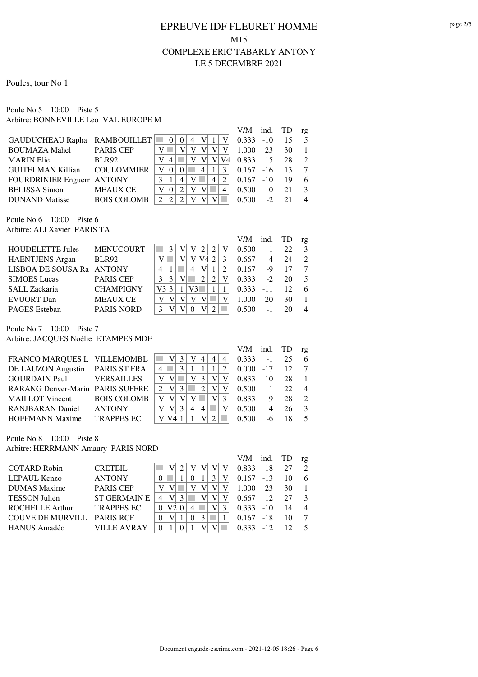#### Poules, tour No 1

Poule No 5 10:00 Piste 5 Arbitre: BONNEVILLE Leo VAL EUROPE M

|                    |                                                                                        |   |                           |   |   |   |       |           |                         | rg            |
|--------------------|----------------------------------------------------------------------------------------|---|---------------------------|---|---|---|-------|-----------|-------------------------|---------------|
|                    |                                                                                        | 0 |                           |   |   |   | 0.333 |           | 15                      |               |
| <b>PARIS CEP</b>   |                                                                                        |   |                           |   |   |   | 1.000 | 23        | 30                      |               |
| <b>BLR92</b>       |                                                                                        |   |                           |   | V |   | 0.833 | -15       | 28                      | $\mathcal{L}$ |
| <b>COULOMMIER</b>  | $\mathbf{V}$                                                                           |   |                           | 4 |   | 3 |       | $-16$     | 13                      |               |
|                    |                                                                                        | 4 |                           |   |   | 2 |       | $-10^{-}$ | 19                      | 6             |
| <b>MEAUX CE</b>    |                                                                                        |   |                           |   |   | 4 | 0.500 | 0         | 21                      |               |
| <b>BOIS COLOMB</b> |                                                                                        |   |                           |   |   |   | 0.500 |           |                         |               |
|                    | GAUDUCHEAU Rapha RAMBOUILLET<br><b>GUITELMAN Killian</b><br>FOURDRINIER Enguerr ANTONY |   | 4<br>$\Omega$<br>$\Omega$ |   |   |   |       |           | $-10$<br>0.167<br>0.167 | $V/M$ ind. TD |

Poule No 6 10:00 Piste 6 Arbitre: ALI Xavier PARIS TA

|                           |                   |    |  |    |    |  | V/M   | ind.  | TD | rg |
|---------------------------|-------------------|----|--|----|----|--|-------|-------|----|----|
| <b>HOUDELETTE Jules</b>   | <b>MENUCOURT</b>  |    |  |    |    |  | 0.500 | $-1$  | 22 |    |
| <b>HAENTJENS</b> Argan    | BLR92             |    |  |    | 74 |  | 0.667 |       | 24 |    |
| LISBOA DE SOUSA Ra ANTONY |                   |    |  | 4  |    |  | 0.167 | -9    |    |    |
| <b>SIMOES</b> Lucas       | <b>PARIS CEP</b>  |    |  |    |    |  | 0.333 | $-2$  | 20 |    |
| SALL Zackaria             | <b>CHAMPIGNY</b>  | V3 |  | V3 |    |  | 0.333 | $-11$ | 12 | 6  |
| <b>EVUORT</b> Dan         | <b>MEAUX CE</b>   |    |  |    |    |  | 1.000 | 20    | 30 |    |
| <b>PAGES</b> Esteban      | <b>PARIS NORD</b> |    |  |    |    |  | 0.500 | - 1   |    |    |

Poule No 7 10:00 Piste 7 Arbitre: JACQUES Noélie ETAMPES MDF

|                                         |                   |                |              |   |                |                |              | V/M-        | ind. TD |    | $r_{\mathfrak{L}}$ |
|-----------------------------------------|-------------------|----------------|--------------|---|----------------|----------------|--------------|-------------|---------|----|--------------------|
| FRANCO MARQUES L VILLEMOMBL             |                   |                | 3            |   | 4              | $\overline{4}$ | 4            | 0.333       | $-1$    | 25 | 6                  |
| DE LAUZON Augustin PARIS ST FRA         |                   | 4              | $\mathbf{3}$ |   |                |                |              | $0.000 -17$ |         | 12 | $\overline{7}$     |
| <b>GOURDAIN Paul VERSAILLES</b>         |                   |                |              |   |                |                |              | 0.833       | 10      | 28 | $\overline{1}$     |
| <b>RARANG Denver-Mariu PARIS SUFFRE</b> |                   | 2 <sub>1</sub> |              |   |                | VI             |              | 0.500       |         | 22 | $\overline{4}$     |
| MAILLOT Vincent BOIS COLOMB             |                   |                |              |   |                |                | $\mathbf{R}$ | 0.833       | 9       | 28 | $\mathcal{L}$      |
| <b>RANJBARAN</b> Daniel                 | <b>ANTONY</b>     |                | 3            | 4 | $\overline{4}$ |                |              | 0.500       | 4       | 26 | $\mathcal{R}$      |
| <b>HOFFMANN Maxime</b>                  | <b>TRAPPES EC</b> |                |              |   |                |                |              | 0.500       |         |    | 5                  |

Poule No 8 10:00 Piste 8

Arbitre: HERRMANN Amaury PARIS NORD

| . <b></b>                  |                     |   |          |  |               |              |       |    |                |
|----------------------------|---------------------|---|----------|--|---------------|--------------|-------|----|----------------|
|                            |                     |   |          |  |               | V/M ind. TD  |       |    | rg             |
| <b>COTARD Robin</b>        | <b>CRETEIL</b>      |   |          |  |               | 0.833        | 18    | 27 | $\mathcal{L}$  |
| LEPAUL Kenzo               | <b>ANTONY</b>       |   |          |  |               | $0.167 - 13$ |       | 10 | 6              |
| <b>DUMAS</b> Maxime        | <b>PARIS CEP</b>    |   |          |  |               | 1.000        | 23    | 30 | $\overline{1}$ |
| <b>TESSON Julien</b>       | <b>ST GERMAIN E</b> | 4 |          |  |               | 0.667        | 12    | 27 | $\mathcal{R}$  |
| <b>ROCHELLE Arthur</b>     | <b>TRAPPES EC</b>   |   | $\theta$ |  | $\mathcal{L}$ | $0.333 - 10$ |       | 14 | $\overline{4}$ |
| COUVE DE MURVILL PARIS RCF |                     |   |          |  |               | $0.167 - 18$ |       | 10 | 7              |
| <b>HANUS Amadéo</b>        | <b>VILLE AVRAY</b>  |   |          |  |               | 0.333        | $-12$ |    | 5              |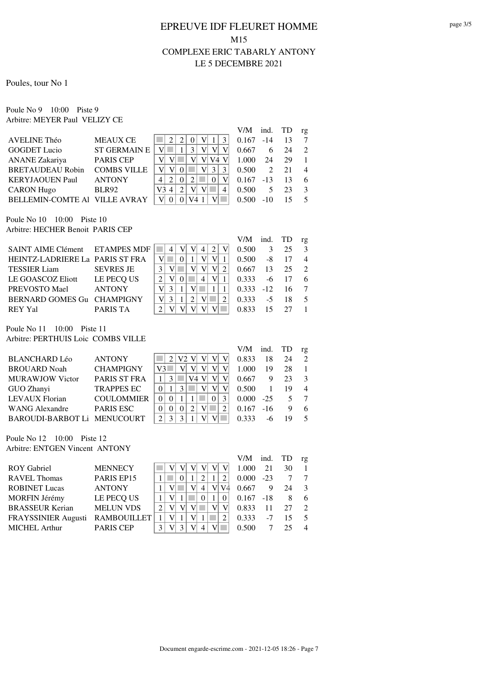Poules, tour No 1

Poule No 9 10:00 Piste 9 Arbitre: MEYER Paul VELIZY CE

|                          |                     |         |                |   |          |   | V/M   | ind.                        | TD | rg            |
|--------------------------|---------------------|---------|----------------|---|----------|---|-------|-----------------------------|----|---------------|
| AVELINE Théo             | <b>MEAUX CE</b>     |         | $\mathfrak{D}$ |   |          |   | 0.167 | $-14$                       | 13 |               |
| <b>GOGDET Lucio</b>      | <b>ST GERMAIN E</b> |         |                | 2 | V        |   | 0.667 | 6                           | 24 | $\mathcal{L}$ |
| ANANE Zakariya           | <b>PARIS CEP</b>    |         |                |   | V4       |   | 1.000 | 24                          | 29 |               |
| <b>BRETAUDEAU Robin</b>  | <b>COMBS VILLE</b>  |         |                |   | 3        | 3 | 0.500 | $\mathcal{D}_{\mathcal{L}}$ | 21 | 4             |
| <b>KERYJAOUEN Paul</b>   | <b>ANTONY</b>       |         | $\Omega$       |   | $\Omega$ |   | 0.167 | $-13$                       | 13 | 6             |
| <b>CARON Hugo</b>        | <b>BLR92</b>        | V3<br>4 | 2              |   |          | 4 | 0.500 |                             | 23 | $\mathcal{R}$ |
| <b>BELLEMIN-COMTE AI</b> | <b>VILLE AVRAY</b>  |         |                |   |          |   | 0.500 | $-10$                       |    |               |
|                          |                     |         |                |   |          |   |       |                             |    |               |

Poule No 10 10:00 Piste 10 Arbitre: HECHER Benoit PARIS CEP

|                                 |                  |   |  |  |                             | V/M   | ind. TD |    | rg |
|---------------------------------|------------------|---|--|--|-----------------------------|-------|---------|----|----|
| SAINT AIME Clément ETAMPES MDF  |                  |   |  |  | $\mathcal{D}_{\mathcal{L}}$ | 0.500 | 3       | 25 |    |
| HEINTZ-LADRIERE La PARIS ST FRA |                  |   |  |  |                             | 0.500 | -8      |    |    |
| <b>TESSIER</b> Liam             | <b>SEVRES JE</b> |   |  |  | V                           | 0.667 | 13      | 25 |    |
| LE GOASCOZ Eliott               | LE PECQ US       |   |  |  | V                           | 0.333 | -6      |    | 6  |
| PREVOSTO Mael                   | <b>ANTONY</b>    | V |  |  |                             | 0.333 | $-12.$  | 16 |    |
| BERNARD GOMES Gu CHAMPIGNY      |                  | V |  |  |                             | 0.333 | -5      |    |    |
| <b>REY Yal</b>                  | PARIS TA         |   |  |  |                             |       |         |    |    |

Poule No 11 10:00 Piste 11 Arbitre: PERTHUIS Loic COMBS VILLE

|                             |                     |    |  |    |  | V/M   | ind.   | TD | rg                          |
|-----------------------------|---------------------|----|--|----|--|-------|--------|----|-----------------------------|
| <b>BLANCHARD Léo</b>        | <b>ANTONY</b>       |    |  |    |  | 0.833 | 18     | 24 | $\mathcal{D}_{\mathcal{L}}$ |
| <b>BROUARD Noah</b>         | <b>CHAMPIGNY</b>    | V3 |  |    |  | 1.000 | 19     | 28 |                             |
| <b>MURAWJOW Victor</b>      | <b>PARIS ST FRA</b> |    |  | V4 |  | 0.667 | 9      | 23 | $\mathcal{R}$               |
| GUO Zhanyi                  | <b>TRAPPES EC</b>   |    |  |    |  | 0.500 |        | 19 | $\overline{4}$              |
| LEVAUX Florian              | <b>COULOMMIER</b>   |    |  |    |  | 0.000 | $-2.5$ |    |                             |
| <b>WANG Alexandre</b>       | <b>PARIS ESC</b>    |    |  |    |  | 0.167 | $-16$  |    | 6                           |
| BAROUDI-BARBOT Li MENUCOURT |                     |    |  |    |  | 0.333 |        |    | $\overline{\mathcal{L}}$    |
|                             |                     |    |  |    |  |       |        |    |                             |

Poule No 12 10:00 Piste 12 Arbitre: ENTGEN Vincent ANTONY

|                            |                    |  |  |   |    | V/M   | ind.  |    | rg             |
|----------------------------|--------------------|--|--|---|----|-------|-------|----|----------------|
| <b>ROY</b> Gabriel         | <b>MENNECY</b>     |  |  |   |    | 1.000 | 21    | 30 |                |
| <b>RAVEL Thomas</b>        | PARIS EP15         |  |  |   |    | 0.000 | $-23$ |    |                |
| <b>ROBINET Lucas</b>       | <b>ANTONY</b>      |  |  | 4 | VI | 0.667 |       | 24 | 3              |
| MORFIN Jérémy              | LE PECQ US         |  |  |   |    | 0.167 | $-18$ | 8  | 6              |
| <b>BRASSEUR Kerian</b>     | <b>MELUN VDS</b>   |  |  |   |    | 0.833 |       | 27 | $\mathcal{D}$  |
| <b>FRAYSSINIER Augusti</b> | <b>RAMBOUILLET</b> |  |  |   |    | 0.333 | -7    | 15 | -5             |
| <b>MICHEL Arthur</b>       | <b>PARIS CEP</b>   |  |  |   |    | 0.500 |       | 25 | $\overline{4}$ |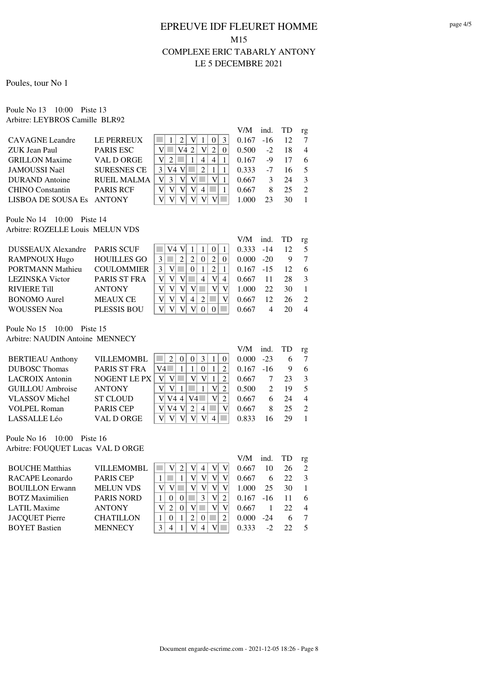Poules, tour No 1

Poule No 13 10:00 Piste 13 Arbitre: LEYBROS Camille BLR92

|                        |                    |                     | V/M   | ind.  | TD | rg            |
|------------------------|--------------------|---------------------|-------|-------|----|---------------|
| <b>CAVAGNE</b> Leandre | LE PERREUX         | 3<br>$\theta$       | 0.167 | $-16$ |    |               |
| ZUK Jean Paul          | <b>PARIS ESC</b>   |                     | 0.500 | $-2$  | 18 | 4             |
| <b>GRILLON Maxime</b>  | VAL D ORGE         | $\overline{4}$<br>4 | 0.167 | -9    |    | 6             |
| JAMOUSSI Naël          | <b>SURESNES CE</b> |                     | 0.333 | $-7$  | 16 |               |
| <b>DURAND</b> Antoine  | RUEIL MALMA        |                     | 0.667 |       | 24 |               |
| CHINO Constantin       | <b>PARIS RCF</b>   | 4                   | 0.667 |       | 25 | $\mathcal{D}$ |
| LISBOA DE SOUSA Es     | ANTONY             |                     |       |       | 30 |               |
|                        |                    |                     |       |       |    |               |

Poule No 14 10:00 Piste 14 Arbitre: ROZELLE Louis MELUN VDS

|                               |                     |               |    |  |   |   |   | V/M          | ind.  | TD | rg            |
|-------------------------------|---------------------|---------------|----|--|---|---|---|--------------|-------|----|---------------|
| DUSSEAUX Alexandre PARIS SCUF |                     |               | V4 |  |   |   |   | $0.333 - 14$ |       | 12 |               |
| <b>RAMPNOUX Hugo</b>          | <b>HOUILLES GO</b>  |               |    |  |   | 2 |   | 0.000        | $-20$ |    |               |
| <b>PORTMANN Mathieu</b>       | <b>COULOMMIER</b>   | $\mathcal{E}$ |    |  |   |   |   | 0.167        | $-15$ | 12 | 6             |
| <b>LEZINSKA</b> Victor        | <b>PARIS ST FRA</b> | V             |    |  | 4 |   | 4 | 0.667        | 11    | 28 |               |
| <b>RIVIERE Till</b>           | <b>ANTONY</b>       | V             |    |  |   |   |   | 1.000        | 22    | 30 |               |
| <b>BONOMO</b> Aurel           | <b>MEAUX CE</b>     |               |    |  |   |   |   | 0.667        | 12    | 26 | $\mathcal{L}$ |
| <b>WOUSSEN Noa</b>            | <b>PLESSIS BOU</b>  |               |    |  |   |   |   | 0.667        |       |    | 4             |

Poule No 15 10:00 Piste 15 Arbitre: NAUDIN Antoine MENNECY

|                         |                     |    |    |   |  | V/M   | ind.  | TD | rg                          |
|-------------------------|---------------------|----|----|---|--|-------|-------|----|-----------------------------|
| <b>BERTIEAU Anthony</b> | <b>VILLEMOMBL</b>   |    |    | 3 |  | 0.000 | $-23$ | h  |                             |
| <b>DUBOSC</b> Thomas    | PARIS ST FRA        | V4 |    |   |  | 0.167 | $-16$ |    | 6                           |
| <b>LACROIX</b> Antonin  | <b>NOGENT LE PX</b> |    |    |   |  | 0.667 |       | 23 | $\mathcal{R}$               |
| <b>GUILLOU</b> Ambroise | <b>ANTONY</b>       |    |    |   |  | 0.500 |       | 19 | 5                           |
| <b>VLASSOV</b> Michel   | <b>ST CLOUD</b>     |    | V4 |   |  | 0.667 | 6     | 24 | 4                           |
| <b>VOLPEL Roman</b>     | <b>PARIS CEP</b>    |    |    |   |  | 0.667 | 8     | 25 | $\mathcal{D}_{\mathcal{L}}$ |
| LASSALLE Léo            | VAL D ORGE          |    |    |   |  | 0.833 |       | 29 |                             |

Poule No 16 10:00 Piste 16 Arbitre: FOUQUET Lucas VAL D ORGE

|                        |                   |  |  |   | V/M   | ind.  |              | rg                          |
|------------------------|-------------------|--|--|---|-------|-------|--------------|-----------------------------|
| <b>BOUCHE Matthias</b> | <b>VILLEMOMBL</b> |  |  | V | 0.667 |       | 26           | $\mathcal{D}_{\mathcal{L}}$ |
| <b>RACAPE</b> Leonardo | <b>PARIS CEP</b>  |  |  |   | 0.667 |       | 22           | 3                           |
| <b>BOUILLON Erwann</b> | <b>MELUN VDS</b>  |  |  |   | 1.000 | 25    | 30           |                             |
| <b>BOTZ Maximilien</b> | <b>PARIS NORD</b> |  |  | V | 0.167 | $-16$ |              | 6                           |
| LATIL Maxime           | <b>ANTONY</b>     |  |  |   | 0.667 |       | 22           | $\overline{4}$              |
| <b>JACQUET Pierre</b>  | <b>CHATILLON</b>  |  |  |   | 0.000 | $-24$ | <sub>6</sub> |                             |
| <b>BOYET Bastien</b>   | <b>MENNECY</b>    |  |  | V |       |       |              | $\sim$                      |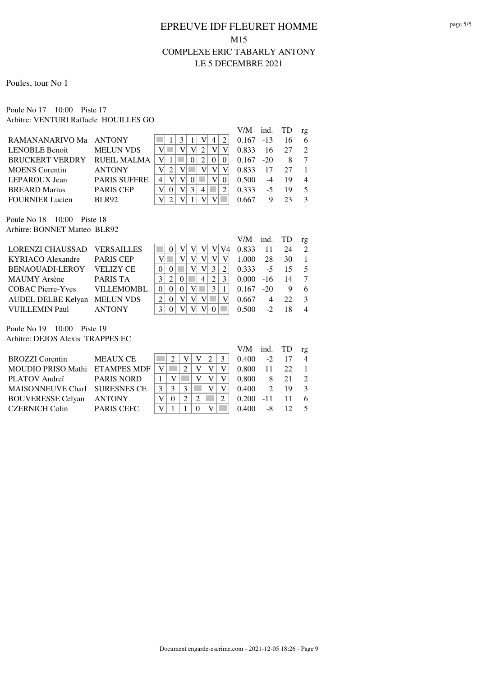#### Poules, tour No 1

Poule No 17 10:00 Piste 17 Arbitre: VENTURI Raffaele HOUILLES GO

| V/M                                                                           | ind.  | TD | rg |
|-------------------------------------------------------------------------------|-------|----|----|
| RAMANANARIVO Ma ANTONY<br>0.167<br>4                                          | $-13$ | 16 | 6  |
| <b>LENOBLE Benoit</b><br><b>MELUN VDS</b><br>0.833                            | 16    |    |    |
| <b>BRUCKERT VERDRY</b><br>RUEIL MALMA<br>$\mathcal{D}_{\mathcal{L}}$<br>0.167 | $-20$ |    |    |
| <b>ANTONY</b><br><b>MOENS</b> Corentin<br>0.833                               | 17    | 27 |    |
| <b>PARIS SUFFRE</b><br>LEPAROUX Jean<br>0.500                                 | $-4$  | 19 |    |
| <b>PARIS CEP</b><br><b>BREARD</b> Marius<br>0.333<br>4                        | -5    | 19 |    |
| <b>FOURNIER Lucien</b><br><b>BLR92</b><br>0.667                               |       |    |    |

Poule No 18 10:00 Piste 18 Arbitre: BONNET Matteo BLR92

|                             |                   |          |          |   |   |   | V/M-  | ind. TD |    | $r_{\mathfrak{L}}$ |
|-----------------------------|-------------------|----------|----------|---|---|---|-------|---------|----|--------------------|
| LORENZI CHAUSSAD VERSAILLES |                   |          |          |   |   |   | 0.833 | 11      | 24 | $\mathcal{L}$      |
| <b>KYRIACO</b> Alexandre    | <b>PARIS CEP</b>  |          |          |   |   |   | 1.000 | 28      | 30 |                    |
| BENAOUADI-LEROY             | <b>VELIZY CE</b>  |          |          |   |   |   | 0.333 | $-5$    | 15 |                    |
| MAUMY Arsène                | PARIS TA          |          | $\Omega$ | 4 | 2 | 3 | 0.000 | $-16$   | 14 |                    |
| COBAC Pierre-Yves           | <b>VILLEMOMBL</b> | $\Omega$ |          |   |   |   | 0.167 | $-20$   |    | 6                  |
| AUDEL DELBE Kelyan          | <b>MELUN VDS</b>  |          |          |   |   |   | 0.667 |         | 22 |                    |
| VUILLEMIN Paul              | <b>ANTONY</b>     |          |          |   |   |   |       |         |    | 4                  |

Poule No 19 10:00 Piste 19 Arbitre: DEJOS Alexis TRAPPES EC

|                   |                                                                 |  |  |       |               |    | rg            |
|-------------------|-----------------------------------------------------------------|--|--|-------|---------------|----|---------------|
| <b>MEAUX CE</b>   |                                                                 |  |  | 0.400 | $-2$          |    |               |
|                   | V                                                               |  |  | 0.800 | 11            | 22 |               |
| <b>PARIS NORD</b> |                                                                 |  |  | 0.800 | 8             | 21 |               |
|                   |                                                                 |  |  | 0.400 | $\mathcal{D}$ |    |               |
| <b>ANTONY</b>     |                                                                 |  |  | 0.200 | $-11$         |    |               |
| <b>PARIS CEFC</b> |                                                                 |  |  | 0.400 | -8            |    |               |
|                   | MOUDIO PRISO Mathi ETAMPES MDF<br>MAISONNEUVE Charl SURESNES CE |  |  |       |               |    | $V/M$ ind. TD |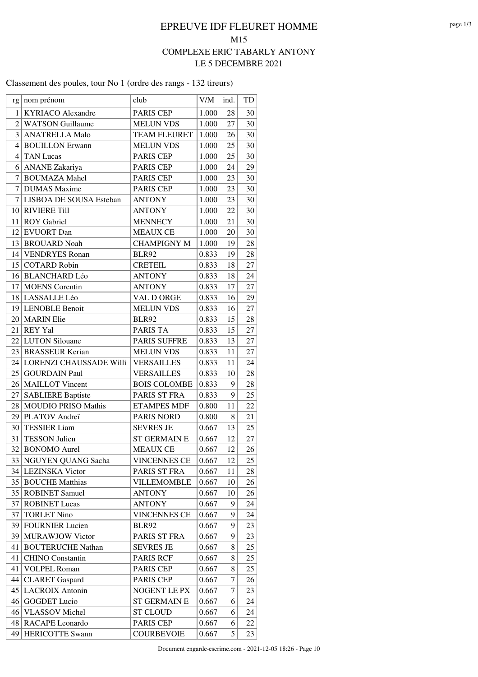#### Classement des poules, tour No 1 (ordre des rangs - 132 tireurs)

| rg <sub>l</sub> | nom prénom                 | club                | V/M   | ind. | TD |
|-----------------|----------------------------|---------------------|-------|------|----|
| 1               | <b>KYRIACO</b> Alexandre   | <b>PARIS CEP</b>    | 1.000 | 28   | 30 |
| $\overline{2}$  | <b>WATSON Guillaume</b>    | <b>MELUN VDS</b>    | 1.000 | 27   | 30 |
| 3               | <b>ANATRELLA Malo</b>      | <b>TEAM FLEURET</b> | 1.000 | 26   | 30 |
| 4               | <b>BOUILLON</b> Erwann     | <b>MELUN VDS</b>    | 1.000 | 25   | 30 |
| 4               | <b>TAN Lucas</b>           | <b>PARIS CEP</b>    | 1.000 | 25   | 30 |
| 6               | <b>ANANE</b> Zakariya      | PARIS CEP           | 1.000 | 24   | 29 |
| 7               | <b>BOUMAZA Mahel</b>       | PARIS CEP           | 1.000 | 23   | 30 |
| 7               | <b>DUMAS</b> Maxime        | PARIS CEP           | 1.000 | 23   | 30 |
| 7               | LISBOA DE SOUSA Esteban    | <b>ANTONY</b>       | 1.000 | 23   | 30 |
|                 | 10 RIVIERE Till            | <b>ANTONY</b>       | 1.000 | 22   | 30 |
| 11              | <b>ROY</b> Gabriel         | <b>MENNECY</b>      | 1.000 | 21   | 30 |
|                 | 12 EVUORT Dan              | <b>MEAUX CE</b>     | 1.000 | 20   | 30 |
|                 | 13 BROUARD Noah            | <b>CHAMPIGNY M</b>  | 1.000 | 19   | 28 |
|                 | 14 VENDRYES Ronan          | <b>BLR92</b>        | 0.833 | 19   | 28 |
|                 | 15 COTARD Robin            | <b>CRETEIL</b>      | 0.833 | 18   | 27 |
|                 | 16 BLANCHARD Léo           | <b>ANTONY</b>       | 0.833 | 18   | 24 |
| 17              | <b>MOENS</b> Corentin      | <b>ANTONY</b>       | 0.833 | 17   | 27 |
| 18              | LASSALLE Léo               | VAL D ORGE          | 0.833 | 16   | 29 |
|                 | 19 LENOBLE Benoit          | <b>MELUN VDS</b>    | 0.833 | 16   | 27 |
|                 | 20   MARIN Elie            | <b>BLR92</b>        | 0.833 | 15   | 28 |
| 21              | <b>REY Yal</b>             | PARIS TA            | 0.833 | 15   | 27 |
| 22              | <b>LUTON</b> Silouane      | <b>PARIS SUFFRE</b> | 0.833 | 13   | 27 |
|                 | 23 BRASSEUR Kerian         | <b>MELUN VDS</b>    | 0.833 | 11   | 27 |
|                 | 24 LORENZI CHAUSSADE Willi | <b>VERSAILLES</b>   | 0.833 | 11   | 24 |
| 25              | <b>GOURDAIN Paul</b>       | <b>VERSAILLES</b>   | 0.833 | 10   | 28 |
| 26              | <b>MAILLOT</b> Vincent     | <b>BOIS COLOMBE</b> | 0.833 | 9    | 28 |
| 27              | <b>SABLIERE Baptiste</b>   | PARIS ST FRA        | 0.833 | 9    | 25 |
| 28              | <b>MOUDIO PRISO Mathis</b> | <b>ETAMPES MDF</b>  | 0.800 | 11   | 22 |
| 29              | PLATOV Andreï              | <b>PARIS NORD</b>   | 0.800 | 8    | 21 |
| 30              | TESSIER Liam               | <b>SEVRES JE</b>    | 0.667 | 13   | 25 |
| 31              | <b>TESSON Julien</b>       | <b>ST GERMAIN E</b> | 0.667 | 12   | 27 |
| 32              | <b>BONOMO</b> Aurel        | <b>MEAUX CE</b>     | 0.667 | 12   | 26 |
|                 | 33 NGUYEN QUANG Sacha      | <b>VINCENNES CE</b> | 0.667 | 12   | 25 |
|                 | 34 LEZINSKA Victor         | PARIS ST FRA        | 0.667 | 11   | 28 |
|                 | 35 BOUCHE Matthias         | <b>VILLEMOMBLE</b>  | 0.667 | 10   | 26 |
|                 | 35   ROBINET Samuel        | <b>ANTONY</b>       | 0.667 | 10   | 26 |
| 37              | <b>ROBINET Lucas</b>       | <b>ANTONY</b>       | 0.667 | 9    | 24 |
| 37              | <b>TORLET Nino</b>         | <b>VINCENNES CE</b> | 0.667 | 9    | 24 |
| 39              | <b>FOURNIER Lucien</b>     | <b>BLR92</b>        | 0.667 | 9    | 23 |
| 39              | <b>MURAWJOW Victor</b>     | PARIS ST FRA        | 0.667 | 9    | 23 |
| 41              | <b>BOUTERUCHE Nathan</b>   | <b>SEVRES JE</b>    | 0.667 | 8    | 25 |
| 41              | <b>CHINO</b> Constantin    | PARIS RCF           | 0.667 | 8    | 25 |
| 41              | <b>VOLPEL Roman</b>        | <b>PARIS CEP</b>    | 0.667 | 8    | 25 |
| 44              | <b>CLARET</b> Gaspard      | PARIS CEP           | 0.667 | 7    | 26 |
| 45              | <b>LACROIX</b> Antonin     | NOGENT LE PX        | 0.667 | 7    | 23 |
| 46              | <b>GOGDET Lucio</b>        | <b>ST GERMAIN E</b> | 0.667 | 6    | 24 |
| 46              | <b>VLASSOV</b> Michel      | <b>ST CLOUD</b>     | 0.667 | 6    | 24 |
| 48              | <b>RACAPE</b> Leonardo     | PARIS CEP           | 0.667 | 6    | 22 |
| 49              | <b>HERICOTTE Swann</b>     | <b>COURBEVOIE</b>   | 0.667 | 5    | 23 |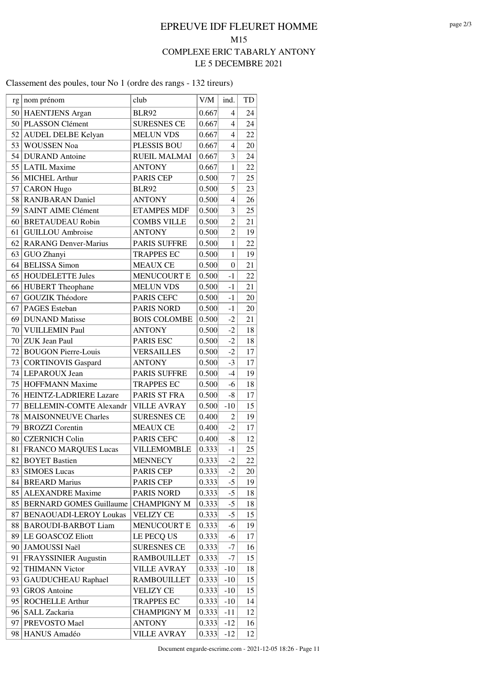Classement des poules, tour No 1 (ordre des rangs - 132 tireurs)

|    | rg   nom prénom                | club                | V/M   | ind.             | TD |
|----|--------------------------------|---------------------|-------|------------------|----|
| 50 | HAENTJENS Argan                | <b>BLR92</b>        | 0.667 | $\overline{4}$   | 24 |
| 50 | PLASSON Clément                | <b>SURESNES CE</b>  | 0.667 | $\overline{4}$   | 24 |
| 52 | <b>AUDEL DELBE Kelyan</b>      | <b>MELUN VDS</b>    | 0.667 | $\overline{4}$   | 22 |
|    | 53 WOUSSEN Noa                 | <b>PLESSIS BOU</b>  | 0.667 | $\overline{4}$   | 20 |
|    | 54 DURAND Antoine              | RUEIL MALMAI        | 0.667 | 3                | 24 |
| 55 | <b>LATIL Maxime</b>            | <b>ANTONY</b>       | 0.667 | $\mathbf{1}$     | 22 |
| 56 | MICHEL Arthur                  | <b>PARIS CEP</b>    | 0.500 | $\overline{7}$   | 25 |
| 57 | <b>CARON</b> Hugo              | <b>BLR92</b>        | 0.500 | 5                | 23 |
| 58 | <b>RANJBARAN</b> Daniel        | <b>ANTONY</b>       | 0.500 | $\overline{4}$   | 26 |
| 59 | <b>SAINT AIME Clément</b>      | <b>ETAMPES MDF</b>  | 0.500 | $\overline{3}$   | 25 |
| 60 | <b>BRETAUDEAU Robin</b>        | <b>COMBS VILLE</b>  | 0.500 | $\overline{2}$   | 21 |
| 61 | <b>GUILLOU</b> Ambroise        | <b>ANTONY</b>       | 0.500 | $\overline{2}$   | 19 |
| 62 | <b>RARANG Denver-Marius</b>    | <b>PARIS SUFFRE</b> | 0.500 | $\mathbf{1}$     | 22 |
| 63 | GUO Zhanyi                     | <b>TRAPPES EC</b>   | 0.500 | $\mathbf{1}$     | 19 |
| 64 | <b>BELISSA</b> Simon           | <b>MEAUX CE</b>     | 0.500 | $\boldsymbol{0}$ | 21 |
| 65 | <b>HOUDELETTE Jules</b>        | <b>MENUCOURT E</b>  | 0.500 | $-1$             | 22 |
| 66 | <b>HUBERT</b> Theophane        | <b>MELUN VDS</b>    | 0.500 | $-1$             | 21 |
| 67 | <b>GOUZIK Théodore</b>         | PARIS CEFC          | 0.500 | $-1$             | 20 |
| 67 | <b>PAGES</b> Esteban           | <b>PARIS NORD</b>   | 0.500 | $-1$             | 20 |
| 69 | <b>DUNAND</b> Matisse          | <b>BOIS COLOMBE</b> | 0.500 | $-2$             | 21 |
| 70 | VUILLEMIN Paul                 | <b>ANTONY</b>       | 0.500 | $-2$             | 18 |
| 70 | <b>ZUK Jean Paul</b>           | PARIS ESC           | 0.500 | $-2$             | 18 |
| 72 | <b>BOUGON Pierre-Louis</b>     | <b>VERSAILLES</b>   | 0.500 | $-2$             | 17 |
| 73 | <b>CORTINOVIS Gaspard</b>      | <b>ANTONY</b>       | 0.500 | $-3$             | 17 |
| 74 | LEPAROUX Jean                  | <b>PARIS SUFFRE</b> | 0.500 | $-4$             | 19 |
| 75 | <b>HOFFMANN Maxime</b>         | <b>TRAPPES EC</b>   | 0.500 | $-6$             | 18 |
| 76 | HEINTZ-LADRIERE Lazare         | PARIS ST FRA        | 0.500 | $-8$             | 17 |
| 77 | <b>BELLEMIN-COMTE Alexandr</b> | <b>VILLE AVRAY</b>  | 0.500 | $-10$            | 15 |
| 78 | <b>MAISONNEUVE Charles</b>     | <b>SURESNES CE</b>  | 0.400 | $\overline{2}$   | 19 |
| 79 | <b>BROZZI</b> Corentin         | <b>MEAUX CE</b>     | 0.400 | $-2$             | 17 |
| 80 | <b>CZERNICH Colin</b>          | <b>PARIS CEFC</b>   | 0.400 | $-8$             | 12 |
| 81 | <b>FRANCO MARQUES Lucas</b>    | VILLEMOMBLE         | 0.333 | $-1$             | 25 |
|    | 82 BOYET Bastien               | <b>MENNECY</b>      | 0.333 | $-2$             | 22 |
| 83 | <b>SIMOES Lucas</b>            | PARIS CEP           | 0.333 | $-2$             | 20 |
| 84 | <b>BREARD Marius</b>           | PARIS CEP           | 0.333 | $-5$             | 19 |
| 85 | <b>ALEXANDRE Maxime</b>        | <b>PARIS NORD</b>   | 0.333 | $-5$             | 18 |
|    | 85 BERNARD GOMES Guillaume     | <b>CHAMPIGNY M</b>  | 0.333 | $-5$             | 18 |
| 87 | <b>BENAOUADI-LEROY Loukas</b>  | <b>VELIZY CE</b>    | 0.333 | $-5$             | 15 |
| 88 | <b>BAROUDI-BARBOT Liam</b>     | <b>MENUCOURT E</b>  | 0.333 | $-6$             | 19 |
| 89 | LE GOASCOZ Eliott              | LE PECQ US          | 0.333 | $-6$             | 17 |
| 90 | <b>JAMOUSSI Naël</b>           | <b>SURESNES CE</b>  | 0.333 | -7               | 16 |
| 91 | <b>FRAYSSINIER Augustin</b>    | <b>RAMBOUILLET</b>  | 0.333 | -7               | 15 |
| 92 | <b>THIMANN Victor</b>          | <b>VILLE AVRAY</b>  | 0.333 | $-10$            | 18 |
| 93 | <b>GAUDUCHEAU Raphael</b>      | <b>RAMBOUILLET</b>  | 0.333 | $-10$            | 15 |
| 93 | <b>GROS</b> Antoine            | <b>VELIZY CE</b>    | 0.333 | $-10$            | 15 |
| 95 | <b>ROCHELLE Arthur</b>         | <b>TRAPPES EC</b>   | 0.333 | $-10$            | 14 |
| 96 | SALL Zackaria                  | <b>CHAMPIGNY M</b>  | 0.333 | $-11$            | 12 |
| 97 | PREVOSTO Mael                  | <b>ANTONY</b>       | 0.333 | $-12$            | 16 |
| 98 | HANUS Amadéo                   | <b>VILLE AVRAY</b>  | 0.333 | $-12$            | 12 |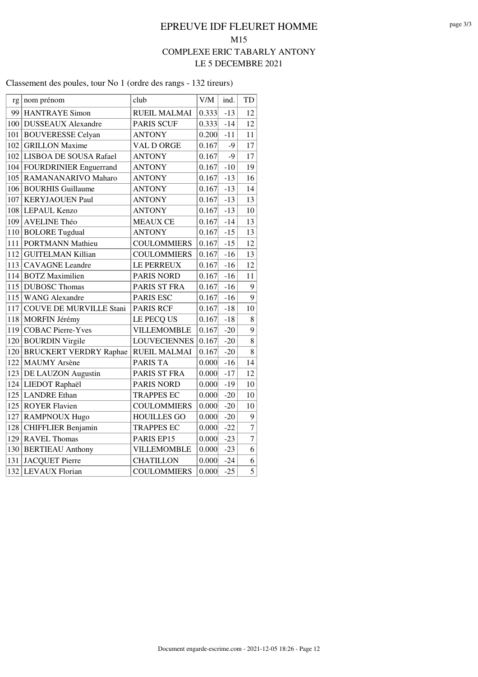Classement des poules, tour No 1 (ordre des rangs - 132 tireurs)

| rg  | nom prénom                     | club                | V/M   | ind.  | TD             |
|-----|--------------------------------|---------------------|-------|-------|----------------|
| 99  | <b>HANTRAYE Simon</b>          | <b>RUEIL MALMAI</b> | 0.333 | $-13$ | 12             |
| 100 | <b>DUSSEAUX Alexandre</b>      | <b>PARIS SCUF</b>   | 0.333 | $-14$ | 12             |
| 101 | <b>BOUVERESSE Celyan</b>       | <b>ANTONY</b>       | 0.200 | $-11$ | 11             |
| 102 | <b>GRILLON Maxime</b>          | VAL D ORGE          | 0.167 | $-9$  | 17             |
|     | 102 LISBOA DE SOUSA Rafael     | <b>ANTONY</b>       | 0.167 | $-9$  | 17             |
|     | 104 FOURDRINIER Enguerrand     | <b>ANTONY</b>       | 0.167 | $-10$ | 19             |
| 105 | RAMANANARIVO Maharo            | <b>ANTONY</b>       | 0.167 | $-13$ | 16             |
| 106 | <b>BOURHIS Guillaume</b>       | <b>ANTONY</b>       | 0.167 | $-13$ | 14             |
| 107 | <b>KERYJAOUEN Paul</b>         | <b>ANTONY</b>       | 0.167 | $-13$ | 13             |
| 108 | LEPAUL Kenzo                   | <b>ANTONY</b>       | 0.167 | $-13$ | 10             |
| 109 | <b>AVELINE Théo</b>            | <b>MEAUX CE</b>     | 0.167 | $-14$ | 13             |
| 110 | <b>BOLORE Tugdual</b>          | <b>ANTONY</b>       | 0.167 | $-15$ | 13             |
| 111 | <b>PORTMANN Mathieu</b>        | <b>COULOMMIERS</b>  | 0.167 | $-15$ | 12             |
| 112 | <b>GUITELMAN Killian</b>       | <b>COULOMMIERS</b>  | 0.167 | $-16$ | 13             |
| 113 | <b>CAVAGNE</b> Leandre         | LE PERREUX          | 0.167 | $-16$ | 12             |
| 114 | <b>BOTZ</b> Maximilien         | <b>PARIS NORD</b>   | 0.167 | $-16$ | 11             |
| 115 | <b>DUBOSC</b> Thomas           | PARIS ST FRA        | 0.167 | $-16$ | 9              |
| 115 | <b>WANG Alexandre</b>          | <b>PARIS ESC</b>    | 0.167 | $-16$ | 9              |
| 117 | <b>COUVE DE MURVILLE Stani</b> | <b>PARIS RCF</b>    | 0.167 | $-18$ | 10             |
| 118 | MORFIN Jérémy                  | LE PECQ US          | 0.167 | $-18$ | 8              |
| 119 | <b>COBAC Pierre-Yves</b>       | VILLEMOMBLE         | 0.167 | $-20$ | 9              |
| 120 | <b>BOURDIN Virgile</b>         | <b>LOUVECIENNES</b> | 0.167 | $-20$ | 8              |
| 120 | <b>BRUCKERT VERDRY Raphae</b>  | <b>RUEIL MALMAI</b> | 0.167 | $-20$ | 8              |
| 122 | <b>MAUMY</b> Arsène            | <b>PARIS TA</b>     | 0.000 | $-16$ | 14             |
| 123 | DE LAUZON Augustin             | PARIS ST FRA        | 0.000 | $-17$ | 12             |
| 124 | LIEDOT Raphaël                 | <b>PARIS NORD</b>   | 0.000 | $-19$ | 10             |
| 125 | <b>LANDRE</b> Ethan            | <b>TRAPPES EC</b>   | 0.000 | $-20$ | 10             |
| 125 | <b>ROYER Flavien</b>           | <b>COULOMMIERS</b>  | 0.000 | $-20$ | 10             |
| 127 | RAMPNOUX Hugo                  | <b>HOUILLES GO</b>  | 0.000 | $-20$ | 9              |
| 128 | <b>CHIFFLIER Benjamin</b>      | <b>TRAPPES EC</b>   | 0.000 | $-22$ | $\overline{7}$ |
| 129 | <b>RAVEL Thomas</b>            | PARIS EP15          | 0.000 | $-23$ | $\overline{7}$ |
| 130 | <b>BERTIEAU</b> Anthony        | VILLEMOMBLE         | 0.000 | $-23$ | 6              |
| 131 | <b>JACQUET Pierre</b>          | <b>CHATILLON</b>    | 0.000 | $-24$ | 6              |
| 132 | <b>LEVAUX Florian</b>          | <b>COULOMMIERS</b>  | 0.000 | $-25$ | $\overline{5}$ |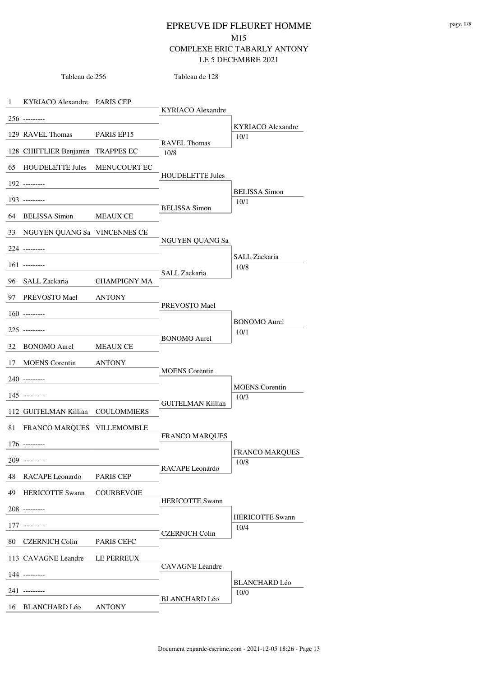Tableau de 256

Tableau de 128

| $\mathbf{1}$ | KYRIACO Alexandre PARIS CEP              |                     |                             |                               |
|--------------|------------------------------------------|---------------------|-----------------------------|-------------------------------|
|              | $256$ ---------                          |                     | <b>KYRIACO</b> Alexandre    |                               |
|              | 129 RAVEL Thomas                         | PARIS EP15          |                             | <b>KYRIACO</b> Alexandre      |
|              | 128 CHIFFLIER Benjamin TRAPPES EC        |                     | <b>RAVEL Thomas</b><br>10/8 | 10/1                          |
| 65           | <b>HOUDELETTE Jules</b>                  | <b>MENUCOURT EC</b> |                             |                               |
|              |                                          |                     | <b>HOUDELETTE Jules</b>     |                               |
|              | 192 ---------                            |                     |                             | <b>BELISSA</b> Simon          |
|              | $193$ ---------                          |                     | <b>BELISSA</b> Simon        | 10/1                          |
|              | 64 BELISSA Simon MEAUX CE                |                     |                             |                               |
| 33           | NGUYEN QUANG Sa VINCENNES CE             |                     | NGUYEN QUANG Sa             |                               |
|              | 224 ---------                            |                     |                             |                               |
|              | $161$ ---------                          |                     |                             | SALL Zackaria<br>10/8         |
|              | 96 SALL Zackaria                         | <b>CHAMPIGNY MA</b> | SALL Zackaria               |                               |
|              | 97 PREVOSTO Mael ANTONY                  |                     |                             |                               |
|              | $160$ ---------                          |                     | PREVOSTO Mael               |                               |
|              | $225$ ---------                          |                     |                             | <b>BONOMO</b> Aurel<br>10/1   |
| 32           | BONOMO Aurel                             | MEAUX CE            | <b>BONOMO</b> Aurel         |                               |
| 17           | <b>MOENS</b> Corentin                    | <b>ANTONY</b>       |                             |                               |
|              | 240 ---------                            |                     | <b>MOENS</b> Corentin       |                               |
|              | $145$ ---------                          |                     |                             | <b>MOENS</b> Corentin<br>10/3 |
|              | 112 GUITELMAN Killian COULOMMIERS        |                     | <b>GUITELMAN Killian</b>    |                               |
| 81           | FRANCO MARQUES VILLEMOMBLE               |                     |                             |                               |
|              | $176$ ---------                          |                     | <b>FRANCO MARQUES</b>       |                               |
|              | 209 ---------                            |                     |                             | <b>FRANCO MARQUES</b>         |
| 48           | RACAPE Leonardo                          | PARIS CEP           | RACAPE Leonardo             | 10/8                          |
| 49           | <b>HERICOTTE Swann</b>                   | <b>COURBEVOIE</b>   |                             |                               |
|              | $208$ ---------                          |                     | <b>HERICOTTE Swann</b>      |                               |
|              |                                          |                     |                             | <b>HERICOTTE Swann</b>        |
| 80           | $177$ ---------<br><b>CZERNICH Colin</b> | <b>PARIS CEFC</b>   | <b>CZERNICH Colin</b>       | 10/4                          |
|              | 113 CAVAGNE Leandre                      | LE PERREUX          |                             |                               |
|              |                                          |                     | <b>CAVAGNE</b> Leandre      |                               |
|              | 144 ---------                            |                     |                             | <b>BLANCHARD Léo</b>          |
|              | 241 ---------                            |                     | <b>BLANCHARD Léo</b>        | 10/0                          |
| 16           | <b>BLANCHARD Léo</b>                     | <b>ANTONY</b>       |                             |                               |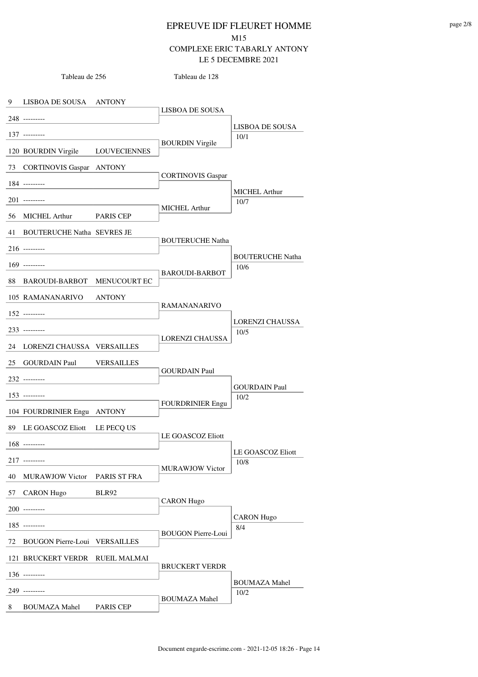Tableau de 128

9 LISBOA DE SOUSA ANTONY 248 --------- 137 --------- 120 BOURDIN Virgile LOUVECIENNES 73 CORTINOVIS Gaspar ANTONY 184 --------- 201 --------- 56 MICHEL Arthur PARIS CEP 41 BOUTERUCHE Natha SEVRES JE 216 --------- 169 --------- 88 BAROUDI-BARBOT MENUCOURT EC 105 RAMANANARIVO ANTONY 152 --------- 233 --------- 24 LORENZI CHAUSSA VERSAILLES 25 GOURDAIN Paul VERSAILLES 232 --------- 153 --------- 104 FOURDRINIER Engu ANTONY 89 LE GOASCOZ Eliott LE PECQ US 168 --------- 217 --------- 40 MURAWJOW Victor PARIS ST FRA 57 CARON Hugo BLR92 200 --------- 185 --------- 72 BOUGON Pierre-Loui VERSAILLES 121 BRUCKERT VERDR RUEIL MALMAI 136 --------- 249 --------- 8 BOUMAZA Mahel PARIS CEP LISBOA DE SOUSA BOURDIN Virgile 10/1 CORTINOVIS Gaspar MICHEL Arthur 10/7 BOUTERUCHE Natha BAROUDI-BARBOT 10/6 RAMANANARIVO LORENZI CHAUSSA 10/5 GOURDAIN Paul FOURDRINIER Engu 10/2 LE GOASCOZ Eliott MURAWJOW Victor 10/8 CARON Hugo BOUGON Pierre-Loui 8/4 BRUCKERT VERDR BOUMAZA Mahel 10/2 LISBOA DE SOUSA MICHEL Arthur BOUTERUCHE Natha LORENZI CHAUSSA GOURDAIN Paul LE GOASCOZ Eliott CARON Hugo BOUMAZA Mahel

Tableau de 256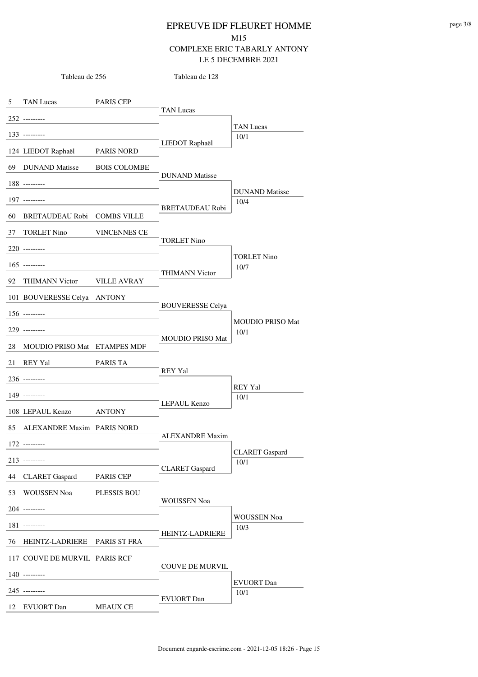| Tableau de 256 |                                | Tableau de 128      |                         |                         |
|----------------|--------------------------------|---------------------|-------------------------|-------------------------|
| 5              | TAN Lucas PARIS CEP            |                     |                         |                         |
|                | $252$ ---------                |                     | <b>TAN Lucas</b>        |                         |
|                | $133$ ---------                |                     |                         | <b>TAN Lucas</b>        |
|                |                                |                     | LIEDOT Raphaël          | 10/1                    |
|                | 124 LIEDOT Raphaël PARIS NORD  |                     |                         |                         |
|                | 69 DUNAND Matisse              | <b>BOIS COLOMBE</b> | <b>DUNAND</b> Matisse   |                         |
|                | $188$ ---------                |                     |                         | <b>DUNAND</b> Matisse   |
|                | 197 ---------                  |                     | <b>BRETAUDEAU Robi</b>  | 10/4                    |
|                | 60 BRETAUDEAU Robi COMBS VILLE |                     |                         |                         |
| 37             | <b>TORLET Nino</b>             | <b>VINCENNES CE</b> |                         |                         |
|                | $220$ ---------                |                     | <b>TORLET Nino</b>      |                         |
|                | $165$ ---------                |                     |                         | <b>TORLET Nino</b>      |
|                |                                |                     | <b>THIMANN Victor</b>   | 10/7                    |
| 92             | THIMANN Victor VILLE AVRAY     |                     |                         |                         |
|                | 101 BOUVERESSE Celya ANTONY    |                     | <b>BOUVERESSE Celya</b> |                         |
|                | $156$ ---------                |                     |                         | <b>MOUDIO PRISO Mat</b> |
|                | 229 ---------                  |                     |                         | 10/1                    |
| 28             | MOUDIO PRISO Mat ETAMPES MDF   |                     | <b>MOUDIO PRISO Mat</b> |                         |
|                | 21 REY Yal                     | PARIS TA            |                         |                         |
|                | 236 ---------                  |                     | <b>REY Yal</b>          |                         |
|                | 149 ---------                  |                     |                         | REY Yal<br>10/1         |
|                | 108 LEPAUL Kenzo               | <b>ANTONY</b>       | LEPAUL Kenzo            |                         |
|                |                                |                     |                         |                         |
|                | 85 ALEXANDRE Maxim PARIS NORD  |                     | <b>ALEXANDRE</b> Maxim  |                         |
|                | $172$ ---------                |                     |                         | <b>CLARET</b> Gaspard   |
|                | $213$ ---------                |                     | <b>CLARET</b> Gaspard   | 10/1                    |
| 44             | CLARET Gaspard PARIS CEP       |                     |                         |                         |
| 53             | WOUSSEN Noa                    | <b>PLESSIS BOU</b>  |                         |                         |
|                | 204 ---------                  |                     | <b>WOUSSEN Noa</b>      |                         |
|                | 181 ---------                  |                     |                         | WOUSSEN Noa<br>10/3     |
| 76             | HEINTZ-LADRIERE PARIS ST FRA   |                     | <b>HEINTZ-LADRIERE</b>  |                         |
|                | 117 COUVE DE MURVIL PARIS RCF  |                     |                         |                         |
|                | $140$ ---------                |                     | <b>COUVE DE MURVIL</b>  |                         |
|                |                                |                     |                         | <b>EVUORT</b> Dan       |
|                | 245 ---------                  |                     | <b>EVUORT</b> Dan       | 10/1                    |
| 12             | EVUORT Dan                     | <b>MEAUX CE</b>     |                         |                         |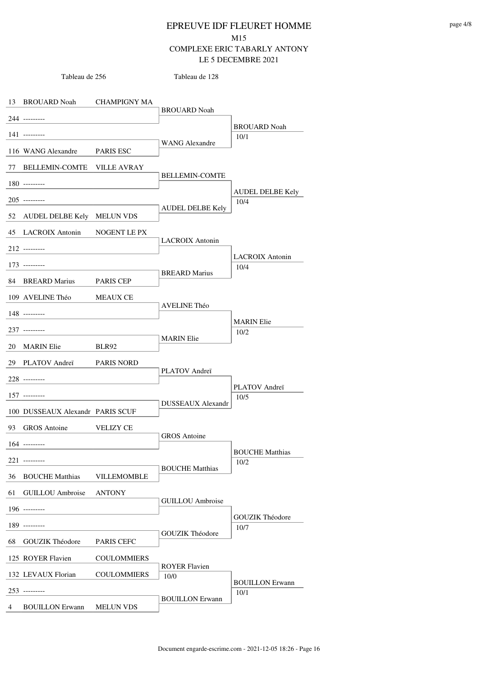| Tableau de 256 |                                  | Tableau de 128     |                          |                                |
|----------------|----------------------------------|--------------------|--------------------------|--------------------------------|
|                |                                  |                    |                          |                                |
|                | 13 BROUARD Noah CHAMPIGNY MA     |                    | <b>BROUARD Noah</b>      |                                |
|                | 244 ---------                    |                    |                          | <b>BROUARD Noah</b>            |
|                | $141$ ---------                  |                    | <b>WANG Alexandre</b>    | 10/1                           |
|                | 116 WANG Alexandre PARIS ESC     |                    |                          |                                |
|                | 77 BELLEMIN-COMTE VILLE AVRAY    |                    |                          |                                |
|                | $180$ ---------                  |                    | <b>BELLEMIN-COMTE</b>    |                                |
|                | $205$ ---------                  |                    |                          | AUDEL DELBE Kely<br>10/4       |
|                | 52 AUDEL DELBE Kely MELUN VDS    |                    | <b>AUDEL DELBE Kely</b>  |                                |
|                | 45 LACROIX Antonin NOGENT LE PX  |                    | <b>LACROIX</b> Antonin   |                                |
|                | $212$ ---------                  |                    |                          |                                |
|                | $173$ ---------                  |                    |                          | <b>LACROIX</b> Antonin<br>10/4 |
|                | 84 BREARD Marius PARIS CEP       |                    | <b>BREARD</b> Marius     |                                |
|                | 109 AVELINE Théo MEAUX CE        |                    |                          |                                |
|                | 148 ---------                    |                    | <b>AVELINE Théo</b>      |                                |
|                | $237$ ---------                  |                    |                          | <b>MARIN</b> Elie<br>10/2      |
|                | 20 MARIN Elie BLR92              |                    | <b>MARIN</b> Elie        |                                |
|                | 29 PLATOV Andreï PARIS NORD      |                    |                          |                                |
|                | 228 ---------                    |                    | PLATOV Andreï            |                                |
|                | $157$ ---------                  |                    |                          | PLATOV Andreï<br>10/5          |
|                | 100 DUSSEAUX Alexandr PARIS SCUF |                    | <b>DUSSEAUX Alexandr</b> |                                |
|                | 93 GROS Antoine                  | <b>VELIZY CE</b>   |                          |                                |
|                | $164$ ---------                  |                    | GROS Antoine             |                                |
|                | 221 ---------                    |                    |                          | <b>BOUCHE Matthias</b>         |
| 36             | <b>BOUCHE Matthias</b>           | <b>VILLEMOMBLE</b> | <b>BOUCHE Matthias</b>   | 10/2                           |
| 61             | <b>GUILLOU</b> Ambroise          | <b>ANTONY</b>      |                          |                                |
|                | $196$ ---------                  |                    | <b>GUILLOU</b> Ambroise  |                                |
|                | 189 ---------                    |                    |                          | <b>GOUZIK Théodore</b>         |
| 68             | <b>GOUZIK Théodore</b>           | PARIS CEFC         | <b>GOUZIK Théodore</b>   | 10/7                           |
|                | 125 ROYER Flavien                | <b>COULOMMIERS</b> |                          |                                |
|                |                                  |                    | <b>ROYER Flavien</b>     |                                |
|                | 132 LEVAUX Florian               | <b>COULOMMIERS</b> | 10/0                     | <b>BOUILLON Erwann</b>         |
|                | $253$ ---------                  |                    | <b>BOUILLON Erwann</b>   | 10/1                           |
| 4              | <b>BOUILLON Erwann</b>           | <b>MELUN VDS</b>   |                          |                                |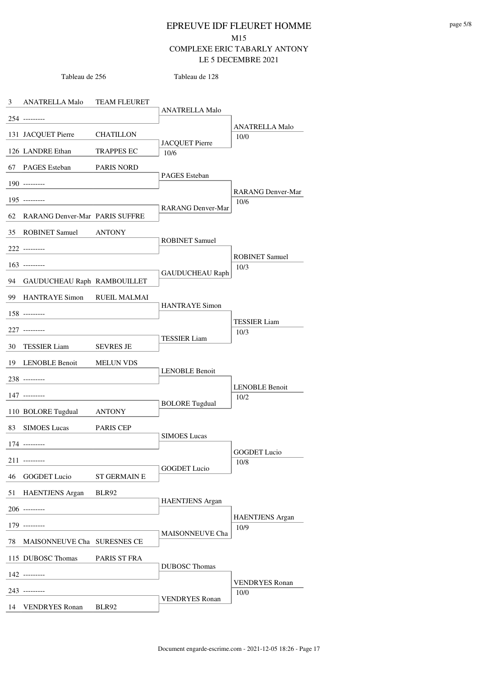Tableau de 128

3 ANATRELLA Malo TEAM FLEURET 254 --------- 131 JACQUET Pierre CHATILLON 126 LANDRE Ethan TRAPPES EC 10/6 67 PAGES Esteban PARIS NORD 190 --------- 195 --------- 62 RARANG Denver-Mar PARIS SUFFRE 35 ROBINET Samuel ANTONY 222 --------- 163 --------- 94 GAUDUCHEAU Raph RAMBOUILLET 99 HANTRAYE Simon RUEIL MALMAI 158 --------- 227 --------- 30 TESSIER Liam SEVRES JE 19 LENOBLE Benoit MELUN VDS 238 --------- 147 --------- 110 BOLORE Tugdual ANTONY 83 SIMOES Lucas PARIS CEP 174 --------- 211 --------- 46 GOGDET Lucio ST GERMAIN E 51 HAENTJENS Argan BLR92 206 --------- 179 --------- 78 MAISONNEUVE Cha SURESNES CE 115 DUBOSC Thomas PARIS ST FRA 142 --------- 243 --------- 14 VENDRYES Ronan BLR92 ANATRELLA Malo JACQUET Pierre 10/0 PAGES Esteban RARANG Denver-Mar 10/6 ROBINET Samuel GAUDUCHEAU Raph 10/3 HANTRAYE Simon TESSIER Liam 10/3 LENOBLE Benoit BOLORE Tugdual 10/2 SIMOES Lucas GOGDET Lucio 10/8 HAENTJENS Argan MAISONNEUVE Cha 10/9 DUBOSC Thomas VENDRYES Ronan 10/0 ANATRELLA Malo RARANG Denver-Mar ROBINET Samuel TESSIER Liam LENOBLE Benoit GOGDET Lucio HAENTJENS Argan VENDRYES Ronan

Tableau de 256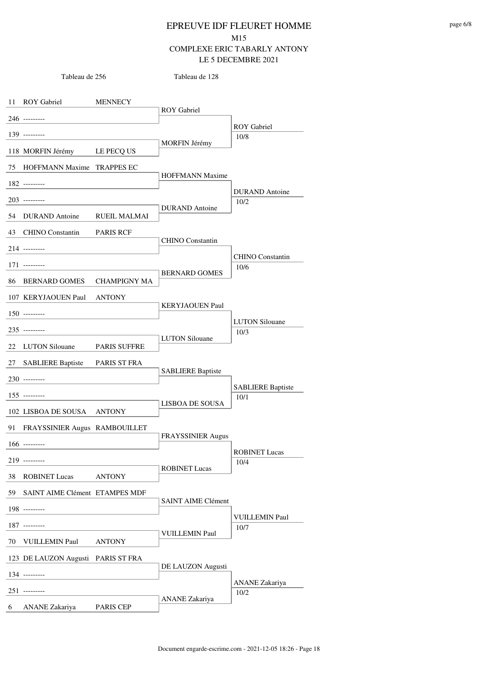|    | Tableau de 256                     |                | Tableau de 128            |                          |
|----|------------------------------------|----------------|---------------------------|--------------------------|
|    | 11 ROY Gabriel                     | <b>MENNECY</b> |                           |                          |
|    | 246 ---------                      |                | <b>ROY</b> Gabriel        |                          |
|    | 139 --------                       |                |                           | <b>ROY</b> Gabriel       |
|    | 118 MORFIN Jérémy LE PECQ US       |                | <b>MORFIN Jérémy</b>      | 10/8                     |
|    | 75 HOFFMANN Maxime TRAPPES EC      |                |                           |                          |
|    | 182 ---------                      |                | <b>HOFFMANN Maxime</b>    |                          |
|    | $203$ ---------                    |                |                           | <b>DURAND</b> Antoine    |
|    | 54 DURAND Antoine RUEIL MALMAI     |                | <b>DURAND</b> Antoine     | 10/2                     |
|    | 43 CHINO Constantin PARIS RCF      |                |                           |                          |
|    |                                    |                | <b>CHINO</b> Constantin   |                          |
|    | $214$ ---------                    |                |                           | <b>CHINO</b> Constantin  |
|    | $171$ ---------                    |                | <b>BERNARD GOMES</b>      | 10/6                     |
|    | 86 BERNARD GOMES CHAMPIGNY MA      |                |                           |                          |
|    | 107 KERYJAOUEN Paul ANTONY         |                | <b>KERYJAOUEN Paul</b>    |                          |
|    | $150$ ---------                    |                |                           | <b>LUTON Silouane</b>    |
|    | $235$ ---------                    |                | <b>LUTON</b> Silouane     | 10/3                     |
|    | 22 LUTON Silouane PARIS SUFFRE     |                |                           |                          |
| 27 | SABLIERE Baptiste PARIS ST FRA     |                | <b>SABLIERE Baptiste</b>  |                          |
|    | 230 ---------                      |                |                           | <b>SABLIERE Baptiste</b> |
|    | $155$ ---------                    |                | LISBOA DE SOUSA           | 10/1                     |
|    | 102 LISBOA DE SOUSA ANTONY         |                |                           |                          |
| 91 | FRAYSSINIER Augus RAMBOUILLET      |                | <b>FRAYSSINIER Augus</b>  |                          |
|    | $166$ ---------                    |                |                           | <b>ROBINET Lucas</b>     |
|    | $219$ ---------                    |                | <b>ROBINET Lucas</b>      | 10/4                     |
| 38 | <b>ROBINET Lucas</b>               | <b>ANTONY</b>  |                           |                          |
| 59 | SAINT AIME Clément ETAMPES MDF     |                | <b>SAINT AIME Clément</b> |                          |
|    | 198 ---------                      |                |                           | <b>VUILLEMIN Paul</b>    |
|    | 187 ---------                      |                | <b>VUILLEMIN Paul</b>     | 10/7                     |
| 70 | <b>VUILLEMIN Paul</b>              | <b>ANTONY</b>  |                           |                          |
|    | 123 DE LAUZON Augusti PARIS ST FRA |                | DE LAUZON Augusti         |                          |
|    | $134$ ---------                    |                |                           | ANANE Zakariya           |
|    | $251$ ---------                    |                | ANANE Zakariya            | 10/2                     |
| 6  | ANANE Zakariya                     | PARIS CEP      |                           |                          |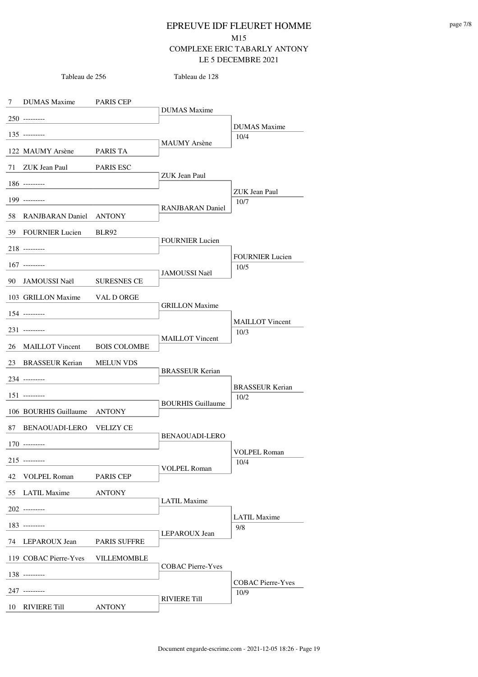Tableau de 128

7 DUMAS Maxime PARIS CEP 250 --------- 135 --------- 122 MAUMY Arsène PARIS TA 71 ZUK Jean Paul PARIS ESC 186 --------- 199 --------- 58 RANJBARAN Daniel ANTONY 39 FOURNIER Lucien BLR92 218 --------- 167 --------- 90 JAMOUSSI Naël SURESNES CE 103 GRILLON Maxime VAL D ORGE 154 --------- 231 --------- 26 MAILLOT Vincent BOIS COLOMBE 23 BRASSEUR Kerian MELUN VDS 234 --------- 151 --------- 106 BOURHIS Guillaume ANTONY 87 BENAOUADI-LERO VELIZY CE 170 --------- 215 --------- 42 VOLPEL Roman PARIS CEP 55 LATIL Maxime ANTONY 202 --------- 183 --------- 74 LEPAROUX Jean PARIS SUFFRE 119 COBAC Pierre-Yves VILLEMOMBLE 138 --------- 247 --------- 10 RIVIERE Till ANTONY DUMAS Maxime MAUMY Arsène 10/4 ZUK Jean Paul RANJBARAN Daniel 10/7 FOURNIER Lucien JAMOUSSI Naël 10/5 GRILLON Maxime MAILLOT Vincent 10/3 BRASSEUR Kerian BOURHIS Guillaume 10/2 BENAOUADI-LERO VOLPEL Roman 10/4 LATIL Maxime LEPAROUX Jean 9/8 COBAC Pierre-Yves RIVIERE Till 10/9 DUMAS Maxime ZUK Jean Paul FOURNIER Lucien MAILLOT Vincent BRASSEUR Kerian VOLPEL Roman LATIL Maxime COBAC Pierre-Yves

Tableau de 256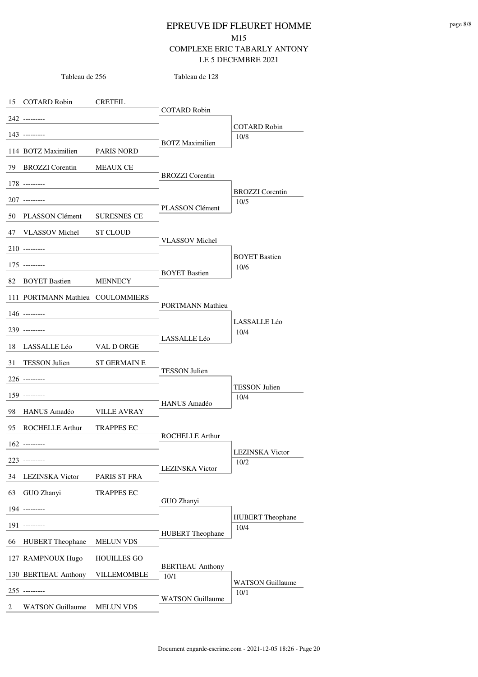15 COTARD Robin CRETEIL Tableau de 256 242 --------- 143 --------- 114 BOTZ Maximilien PARIS NORD 79 BROZZI Corentin MEAUX CE 178 --------- 207 --------- 50 PLASSON Clément SURESNES CE 47 VLASSOV Michel ST CLOUD 210 --------- 175 --------- 82 BOYET Bastien MENNECY 111 PORTMANN Mathieu COULOMMIERS 146 --------- 239 --------- 18 LASSALLE Léo VAL D ORGE 31 TESSON Julien ST GERMAIN E 226 --------- 159 --------- 98 HANUS Amadéo VILLE AVRAY 95 ROCHELLE Arthur TRAPPES EC 162 --------- 223 --------- 34 LEZINSKA Victor PARIS ST FRA 63 GUO Zhanyi TRAPPES EC 194 --------- 191 --------- 66 HUBERT Theophane MELUN VDS 127 RAMPNOUX Hugo HOUILLES GO 130 BERTIEAU Anthony VILLEMOMBLE  $\boxed{10/1}$ 255 --------- 2 WATSON Guillaume MELUN VDS COTARD Robin Tableau de 128 BOTZ Maximilien 10/8 BROZZI Corentin PLASSON Clément 10/5 VLASSOV Michel BOYET Bastien 10/6 PORTMANN Mathieu LASSALLE Léo 10/4 TESSON Julien HANUS Amadéo 10/4 ROCHELLE Arthur LEZINSKA Victor 10/2 GUO Zhanyi HUBERT Theophane 10/4 BERTIEAU Anthony WATSON Guillaume 10/1 COTARD Robin BROZZI Corentin BOYET Bastien LASSALLE Léo TESSON Julien LEZINSKA Victor HUBERT Theophane WATSON Guillaume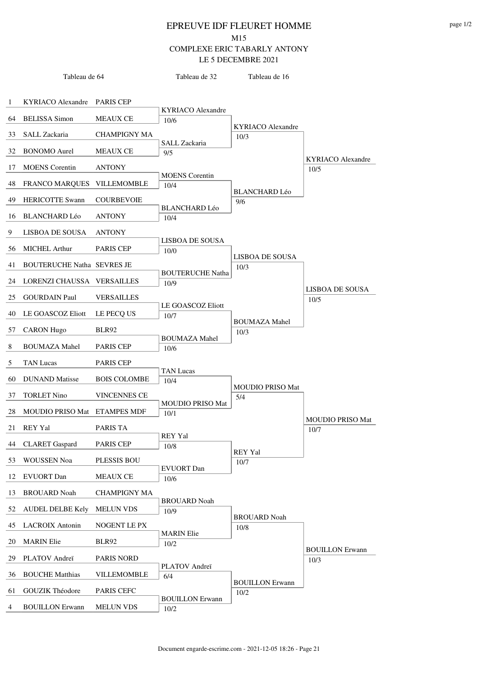|    | Tableau de 64                     |                     | Tableau de 32                    | Tableau de 16                    |                                 |
|----|-----------------------------------|---------------------|----------------------------------|----------------------------------|---------------------------------|
|    |                                   |                     |                                  |                                  |                                 |
| 1  | KYRIACO Alexandre PARIS CEP       |                     |                                  |                                  |                                 |
| 64 | <b>BELISSA</b> Simon              | <b>MEAUX CE</b>     | <b>KYRIACO</b> Alexandre<br>10/6 |                                  |                                 |
| 33 | SALL Zackaria                     | <b>CHAMPIGNY MA</b> |                                  | <b>KYRIACO</b> Alexandre<br>10/3 |                                 |
| 32 | <b>BONOMO</b> Aurel               | MEAUX CE            | SALL Zackaria<br>9/5             |                                  |                                 |
|    |                                   |                     |                                  |                                  | KYRIACO Alexandre               |
| 17 | <b>MOENS</b> Corentin             | <b>ANTONY</b>       | <b>MOENS</b> Corentin            |                                  | 10/5                            |
| 48 | <b>FRANCO MARQUES</b>             | <b>VILLEMOMBLE</b>  | 10/4                             | <b>BLANCHARD Léo</b>             |                                 |
| 49 | <b>HERICOTTE Swann</b>            | <b>COURBEVOIE</b>   |                                  | 9/6                              |                                 |
| 16 | <b>BLANCHARD Léo</b>              | <b>ANTONY</b>       | <b>BLANCHARD Léo</b><br>10/4     |                                  |                                 |
| 9  | LISBOA DE SOUSA                   | <b>ANTONY</b>       |                                  |                                  |                                 |
| 56 | <b>MICHEL Arthur</b>              | PARIS CEP           | <b>LISBOA DE SOUSA</b><br>10/0   |                                  |                                 |
| 41 | <b>BOUTERUCHE Natha SEVRES JE</b> |                     |                                  | LISBOA DE SOUSA<br>10/3          |                                 |
| 24 | LORENZI CHAUSSA                   | VERSAILLES          | <b>BOUTERUCHE Natha</b>          |                                  |                                 |
|    |                                   |                     | 10/9                             |                                  | <b>LISBOA DE SOUSA</b>          |
| 25 | <b>GOURDAIN Paul</b>              | <b>VERSAILLES</b>   | LE GOASCOZ Eliott                |                                  | 10/5                            |
| 40 | LE GOASCOZ Eliott                 | LE PECQ US          | 10/7                             | <b>BOUMAZA Mahel</b>             |                                 |
| 57 | <b>CARON</b> Hugo                 | <b>BLR92</b>        |                                  | 10/3                             |                                 |
| 8  | <b>BOUMAZA Mahel</b>              | <b>PARIS CEP</b>    | <b>BOUMAZA Mahel</b><br>10/6     |                                  |                                 |
| 5  | <b>TAN Lucas</b>                  | <b>PARIS CEP</b>    |                                  |                                  |                                 |
| 60 | <b>DUNAND</b> Matisse             | <b>BOIS COLOMBE</b> | TAN Lucas<br>10/4                |                                  |                                 |
| 37 | <b>TORLET Nino</b>                | <b>VINCENNES CE</b> |                                  | <b>MOUDIO PRISO Mat</b><br>5/4   |                                 |
| 28 | MOUDIO PRISO Mat ETAMPES MDF      |                     | <b>MOUDIO PRISO Mat</b><br>10/1  |                                  |                                 |
| 21 | <b>REY Yal</b>                    | PARIS TA            |                                  |                                  | <b>MOUDIO PRISO Mat</b><br>10/7 |
| 44 | <b>CLARET</b> Gaspard             | <b>PARIS CEP</b>    | <b>REY Yal</b>                   |                                  |                                 |
|    |                                   |                     | 10/8                             | <b>REY Yal</b>                   |                                 |
| 53 | <b>WOUSSEN Noa</b>                | PLESSIS BOU         | <b>EVUORT</b> Dan                | 10/7                             |                                 |
| 12 | <b>EVUORT</b> Dan                 | <b>MEAUX CE</b>     | 10/6                             |                                  |                                 |
| 13 | <b>BROUARD Noah</b>               | <b>CHAMPIGNY MA</b> |                                  |                                  |                                 |
| 52 | <b>AUDEL DELBE Kely</b>           | <b>MELUN VDS</b>    | <b>BROUARD Noah</b><br>10/9      |                                  |                                 |
| 45 | <b>LACROIX</b> Antonin            | NOGENT LE PX        |                                  | <b>BROUARD Noah</b><br>10/8      |                                 |
| 20 | <b>MARIN</b> Elie                 | <b>BLR92</b>        | <b>MARIN</b> Elie<br>10/2        |                                  |                                 |
| 29 | PLATOV Andreï                     | <b>PARIS NORD</b>   |                                  |                                  | <b>BOUILLON Erwann</b><br>10/3  |
| 36 | <b>BOUCHE Matthias</b>            | VILLEMOMBLE         | PLATOV Andreï<br>6/4             |                                  |                                 |
| 61 | GOUZIK Théodore                   | PARIS CEFC          |                                  | <b>BOUILLON Erwann</b>           |                                 |
|    |                                   |                     | <b>BOUILLON Erwann</b>           | 10/2                             |                                 |
| 4  | <b>BOUILLON Erwann</b>            | <b>MELUN VDS</b>    | $10/2$                           |                                  |                                 |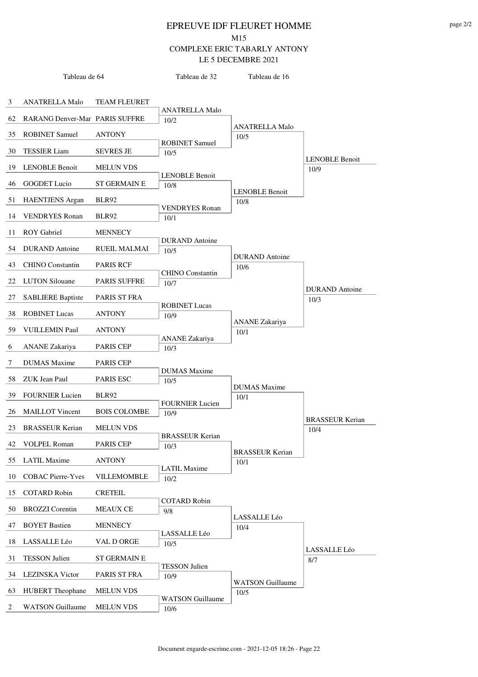|    | Tableau de 64                  |                     | Tableau de 32                  | Tableau de 16                 |                        |
|----|--------------------------------|---------------------|--------------------------------|-------------------------------|------------------------|
|    |                                |                     |                                |                               |                        |
| 3  | <b>ANATRELLA Malo</b>          | <b>TEAM FLEURET</b> |                                |                               |                        |
| 62 | RARANG Denver-Mar PARIS SUFFRE |                     | <b>ANATRELLA Malo</b><br>10/2  |                               |                        |
| 35 | <b>ROBINET Samuel</b>          | <b>ANTONY</b>       |                                | <b>ANATRELLA Malo</b><br>10/5 |                        |
| 30 | <b>TESSIER</b> Liam            | <b>SEVRES JE</b>    | <b>ROBINET Samuel</b><br>10/5  |                               |                        |
| 19 | <b>LENOBLE Benoit</b>          | <b>MELUN VDS</b>    |                                |                               | <b>LENOBLE Benoit</b>  |
|    |                                |                     | <b>LENOBLE Benoit</b>          |                               | 10/9                   |
| 46 | <b>GOGDET</b> Lucio            | <b>ST GERMAIN E</b> | 10/8                           | <b>LENOBLE Benoit</b>         |                        |
| 51 | <b>HAENTJENS</b> Argan         | <b>BLR92</b>        | <b>VENDRYES</b> Ronan          | 10/8                          |                        |
| 14 | <b>VENDRYES</b> Ronan          | BLR92               | 10/1                           |                               |                        |
| 11 | <b>ROY</b> Gabriel             | <b>MENNECY</b>      |                                |                               |                        |
| 54 | <b>DURAND</b> Antoine          | <b>RUEIL MALMAI</b> | <b>DURAND</b> Antoine<br>10/5  |                               |                        |
| 43 | <b>CHINO</b> Constantin        | <b>PARIS RCF</b>    |                                | <b>DURAND</b> Antoine<br>10/6 |                        |
| 22 | <b>LUTON Silouane</b>          | <b>PARIS SUFFRE</b> | <b>CHINO</b> Constantin        |                               |                        |
|    |                                |                     | 10/7                           |                               | <b>DURAND</b> Antoine  |
| 27 | <b>SABLIERE Baptiste</b>       | PARIS ST FRA        | <b>ROBINET Lucas</b>           |                               | 10/3                   |
| 38 | <b>ROBINET Lucas</b>           | <b>ANTONY</b>       | 10/9                           | <b>ANANE</b> Zakariya         |                        |
| 59 | <b>VUILLEMIN Paul</b>          | <b>ANTONY</b>       | <b>ANANE</b> Zakariya          | 10/1                          |                        |
| 6  | <b>ANANE</b> Zakariya          | <b>PARIS CEP</b>    | 10/3                           |                               |                        |
| 7  | <b>DUMAS</b> Maxime            | PARIS CEP           |                                |                               |                        |
| 58 | <b>ZUK Jean Paul</b>           | PARIS ESC           | <b>DUMAS</b> Maxime<br>10/5    |                               |                        |
| 39 | <b>FOURNIER Lucien</b>         | <b>BLR92</b>        |                                | <b>DUMAS</b> Maxime<br>10/1   |                        |
| 26 | <b>MAILLOT</b> Vincent         | <b>BOIS COLOMBE</b> | <b>FOURNIER Lucien</b><br>10/9 |                               |                        |
|    |                                |                     |                                |                               | <b>BRASSEUR Kerian</b> |
| 23 | <b>BRASSEUR Kerian</b>         | <b>MELUN VDS</b>    | <b>BRASSEUR Kerian</b>         |                               | 10/4                   |
| 42 | <b>VOLPEL Roman</b>            | PARIS CEP           | 10/3                           | <b>BRASSEUR Kerian</b>        |                        |
| 55 | <b>LATIL Maxime</b>            | <b>ANTONY</b>       | <b>LATIL Maxime</b>            | 10/1                          |                        |
| 10 | <b>COBAC Pierre-Yves</b>       | VILLEMOMBLE         | 10/2                           |                               |                        |
| 15 | <b>COTARD Robin</b>            | <b>CRETEIL</b>      |                                |                               |                        |
| 50 | <b>BROZZI</b> Corentin         | <b>MEAUX CE</b>     | <b>COTARD Robin</b><br>9/8     |                               |                        |
| 47 | <b>BOYET Bastien</b>           | <b>MENNECY</b>      |                                | LASSALLE Léo<br>10/4          |                        |
| 18 | LASSALLE Léo                   | VAL D ORGE          | LASSALLE Léo<br>10/5           |                               |                        |
| 31 | <b>TESSON Julien</b>           | <b>ST GERMAIN E</b> |                                |                               | LASSALLE Léo<br>8/7    |
|    |                                |                     | <b>TESSON Julien</b>           |                               |                        |
| 34 | <b>LEZINSKA</b> Victor         | PARIS ST FRA        | 10/9                           | <b>WATSON Guillaume</b>       |                        |
| 63 | <b>HUBERT</b> Theophane        | <b>MELUN VDS</b>    | <b>WATSON Guillaume</b>        | 10/5                          |                        |
| 2  | <b>WATSON Guillaume</b>        | <b>MELUN VDS</b>    | 10/6                           |                               |                        |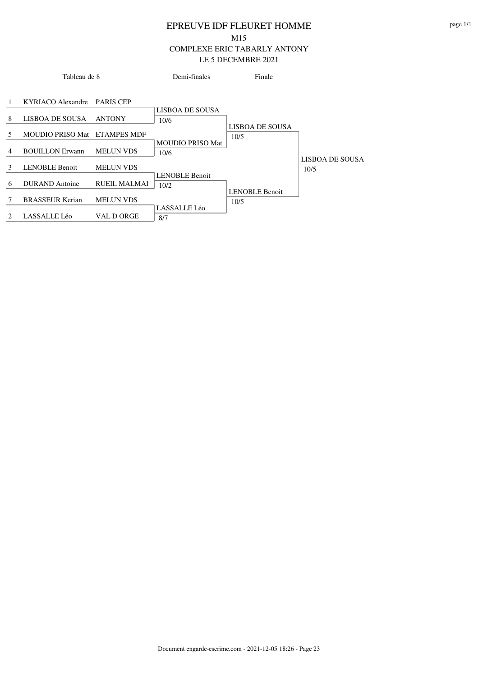|   | Tableau de 8                 |                     | Demi-finales                    | Finale                  |                         |
|---|------------------------------|---------------------|---------------------------------|-------------------------|-------------------------|
| 1 | KYRIACO Alexandre PARIS CEP  |                     |                                 |                         |                         |
| 8 | LISBOA DE SOUSA              | <b>ANTONY</b>       | LISBOA DE SOUSA<br>10/6         |                         |                         |
| 5 | MOUDIO PRISO Mat ETAMPES MDF |                     |                                 | LISBOA DE SOUSA<br>10/5 |                         |
| 4 | <b>BOUILLON Erwann</b>       | <b>MELUN VDS</b>    | <b>MOUDIO PRISO Mat</b><br>10/6 |                         |                         |
| 3 | <b>LENOBLE Benoit</b>        | <b>MELUN VDS</b>    | <b>LENOBLE Benoit</b>           |                         | LISBOA DE SOUSA<br>10/5 |
| 6 | DURAND Antoine               | <b>RUEIL MALMAI</b> | 10/2                            | <b>LENOBLE Benoit</b>   |                         |
| 7 | <b>BRASSEUR Kerian</b>       | <b>MELUN VDS</b>    | LASSALLE Léo                    | 10/5                    |                         |
| 2 | LASSALLE Léo                 | VAL D ORGE          | 8/7                             |                         |                         |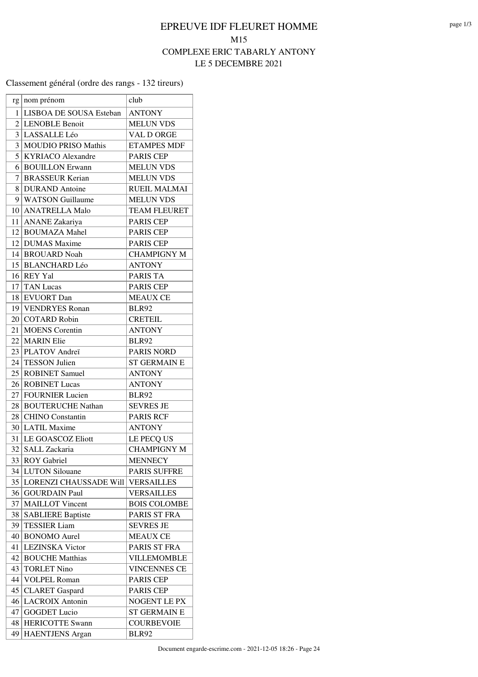#### Classement général (ordre des rangs - 132 tireurs)

| rg             | nom prénom                 | club                |
|----------------|----------------------------|---------------------|
| 1              | LISBOA DE SOUSA Esteban    | <b>ANTONY</b>       |
| $\overline{2}$ | <b>LENOBLE Benoit</b>      | <b>MELUN VDS</b>    |
| 3              | LASSALLE Léo               | VAL D ORGE          |
| 3              | <b>MOUDIO PRISO Mathis</b> | <b>ETAMPES MDF</b>  |
| 5              | <b>KYRIACO</b> Alexandre   | PARIS CEP           |
| 6              | <b>BOUILLON Erwann</b>     | <b>MELUN VDS</b>    |
|                | 7 BRASSEUR Kerian          | <b>MELUN VDS</b>    |
| 8              | <b>DURAND</b> Antoine      | <b>RUEIL MALMAI</b> |
|                | 9 WATSON Guillaume         | <b>MELUN VDS</b>    |
|                | 10   ANATRELLA Malo        | <b>TEAM FLEURET</b> |
|                | 11 ANANE Zakariya          | PARIS CEP           |
| 12             | <b>BOUMAZA Mahel</b>       | PARIS CEP           |
| 12             | <b>DUMAS</b> Maxime        | <b>PARIS CEP</b>    |
|                | 14 BROUARD Noah            | <b>CHAMPIGNY M</b>  |
|                | 15 BLANCHARD Léo           | <b>ANTONY</b>       |
| 16             | <b>REY Yal</b>             | PARIS TA            |
| 17             | <b>TAN</b> Lucas           | <b>PARIS CEP</b>    |
| 18             | <b>EVUORT</b> Dan          | <b>MEAUX CE</b>     |
|                | 19 VENDRYES Ronan          | <b>BLR92</b>        |
|                | 20 COTARD Robin            | <b>CRETEIL</b>      |
| 21             | <b>MOENS</b> Corentin      | <b>ANTONY</b>       |
| 22             | <b>MARIN</b> Elie          | <b>BLR92</b>        |
|                | 23 PLATOV Andreï           | PARIS NORD          |
| 24             | <b>TESSON Julien</b>       | <b>ST GERMAIN E</b> |
| 25             | <b>ROBINET Samuel</b>      | <b>ANTONY</b>       |
| 26             | <b>ROBINET Lucas</b>       | <b>ANTONY</b>       |
| 27             | <b>FOURNIER Lucien</b>     | <b>BLR92</b>        |
| 28             | <b>BOUTERUCHE Nathan</b>   | <b>SEVRES JE</b>    |
| 28             | <b>CHINO</b> Constantin    | <b>PARIS RCF</b>    |
| 30             | <b>LATIL Maxime</b>        | <b>ANTONY</b>       |
| 31             | <b>LE GOASCOZ Eliott</b>   | LE PECQ US          |
| 32             | SALL Zackaria              | <b>CHAMPIGNY M</b>  |
| 33             | <b>ROY</b> Gabriel         | <b>MENNECY</b>      |
| 34             | <b>LUTON Silouane</b>      | <b>PARIS SUFFRE</b> |
| 35             | LORENZI CHAUSSADE Will     | <b>VERSAILLES</b>   |
| 36             | <b>GOURDAIN Paul</b>       | <b>VERSAILLES</b>   |
| 37             | <b>MAILLOT</b> Vincent     | <b>BOIS COLOMBE</b> |
| 38             | <b>SABLIERE Baptiste</b>   | PARIS ST FRA        |
| 39             | <b>TESSIER Liam</b>        | <b>SEVRES JE</b>    |
| 40             | <b>BONOMO</b> Aurel        | <b>MEAUX CE</b>     |
| 41             | <b>LEZINSKA</b> Victor     | PARIS ST FRA        |
| 42             | <b>BOUCHE Matthias</b>     | <b>VILLEMOMBLE</b>  |
| 43             | <b>TORLET Nino</b>         | <b>VINCENNES CE</b> |
| 44             | <b>VOLPEL Roman</b>        | PARIS CEP           |
| 45             | <b>CLARET</b> Gaspard      | PARIS CEP           |
| 46             | <b>LACROIX Antonin</b>     | NOGENT LE PX        |
| 47             | <b>GOGDET Lucio</b>        | <b>ST GERMAIN E</b> |
| 48             | <b>HERICOTTE Swann</b>     | <b>COURBEVOIE</b>   |
| 49             | <b>HAENTJENS</b> Argan     | <b>BLR92</b>        |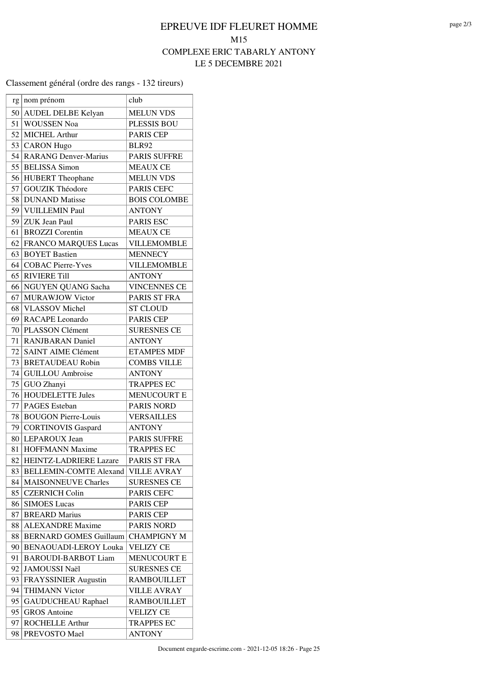#### Classement général (ordre des rangs - 132 tireurs)

| rg       | nom prénom                                                 | club                                     |
|----------|------------------------------------------------------------|------------------------------------------|
| 50       | AUDEL DELBE Kelyan                                         | <b>MELUN VDS</b>                         |
| 51       | WOUSSEN Noa                                                | PLESSIS BOU                              |
| 52       | MICHEL Arthur                                              | <b>PARIS CEP</b>                         |
| 53       | <b>CARON</b> Hugo                                          | <b>BLR92</b>                             |
| 54       | <b>RARANG Denver-Marius</b>                                | <b>PARIS SUFFRE</b>                      |
| 55       | <b>BELISSA</b> Simon                                       | <b>MEAUX CE</b>                          |
| 56       | <b>HUBERT</b> Theophane                                    | <b>MELUN VDS</b>                         |
| 57       | <b>GOUZIK Théodore</b>                                     | PARIS CEFC                               |
| 58       | <b>DUNAND</b> Matisse                                      | <b>BOIS COLOMBE</b>                      |
| 59       | VUILLEMIN Paul                                             | <b>ANTONY</b>                            |
|          | 59 ZUK Jean Paul                                           | <b>PARIS ESC</b>                         |
| 61       | <b>BROZZI</b> Corentin                                     | <b>MEAUX CE</b>                          |
| 62       | <b>FRANCO MARQUES Lucas</b>                                | VILLEMOMBLE                              |
| 63       | <b>BOYET Bastien</b>                                       | <b>MENNECY</b>                           |
|          | 64   COBAC Pierre-Yves                                     | <b>VILLEMOMBLE</b>                       |
| 65       | <b>RIVIERE Till</b>                                        | <b>ANTONY</b>                            |
| 66       | NGUYEN QUANG Sacha                                         | <b>VINCENNES CE</b>                      |
| 67       | <b>MURAWJOW Victor</b>                                     | PARIS ST FRA                             |
|          | 68 VLASSOV Michel                                          | <b>ST CLOUD</b>                          |
| 69       | <b>RACAPE</b> Leonardo                                     | <b>PARIS CEP</b>                         |
| 70       | PLASSON Clément                                            | <b>SURESNES CE</b>                       |
| 71       | <b>RANJBARAN Daniel</b>                                    | <b>ANTONY</b>                            |
| 72       | <b>SAINT AIME Clément</b>                                  | <b>ETAMPES MDF</b>                       |
| 73       | <b>BRETAUDEAU Robin</b>                                    | <b>COMBS VILLE</b>                       |
| 74       | <b>GUILLOU</b> Ambroise                                    | <b>ANTONY</b>                            |
| 75       | GUO Zhanyi                                                 | <b>TRAPPES EC</b>                        |
| 76       | <b>HOUDELETTE Jules</b>                                    | <b>MENUCOURT E</b>                       |
| 77       | <b>PAGES</b> Esteban                                       | <b>PARIS NORD</b>                        |
| 78       | <b>BOUGON Pierre-Louis</b>                                 | <b>VERSAILLES</b>                        |
| 79       | CORTINOVIS Gaspard                                         | <b>ANTONY</b>                            |
| 80       | <b>LEPAROUX Jean</b>                                       | <b>PARIS SUFFRE</b>                      |
| 81       | <b>HOFFMANN Maxime</b>                                     | <b>TRAPPES EC</b>                        |
| 82       | HEINTZ-LADRIERE Lazare                                     | PARIS ST FRA                             |
| 83       | <b>BELLEMIN-COMTE Alexand</b>                              | <b>VILLE AVRAY</b>                       |
| 84       | <b>MAISONNEUVE Charles</b>                                 | <b>SURESNES CE</b>                       |
| 85       | <b>CZERNICH Colin</b>                                      | PARIS CEFC                               |
| 86       | <b>SIMOES Lucas</b>                                        | <b>PARIS CEP</b>                         |
| 87       | <b>BREARD Marius</b>                                       | PARIS CEP                                |
| 88       | <b>ALEXANDRE</b> Maxime                                    | <b>PARIS NORD</b><br><b>CHAMPIGNY M</b>  |
| 88       | <b>BERNARD GOMES Guillaum</b>                              |                                          |
| 90<br>91 | <b>BENAOUADI-LEROY Louka</b><br><b>BAROUDI-BARBOT Liam</b> | <b>VELIZY CE</b><br><b>MENUCOURT E</b>   |
|          |                                                            |                                          |
| 92       | JAMOUSSI Naël                                              | <b>SURESNES CE</b><br><b>RAMBOUILLET</b> |
| 93       | <b>FRAYSSINIER Augustin</b>                                |                                          |
| 94<br>95 | <b>THIMANN Victor</b><br><b>GAUDUCHEAU Raphael</b>         | <b>VILLE AVRAY</b><br><b>RAMBOUILLET</b> |
| 95       | <b>GROS</b> Antoine                                        | <b>VELIZY CE</b>                         |
| 97       | <b>ROCHELLE Arthur</b>                                     | <b>TRAPPES EC</b>                        |
| 98       | PREVOSTO Mael                                              | <b>ANTONY</b>                            |
|          |                                                            |                                          |